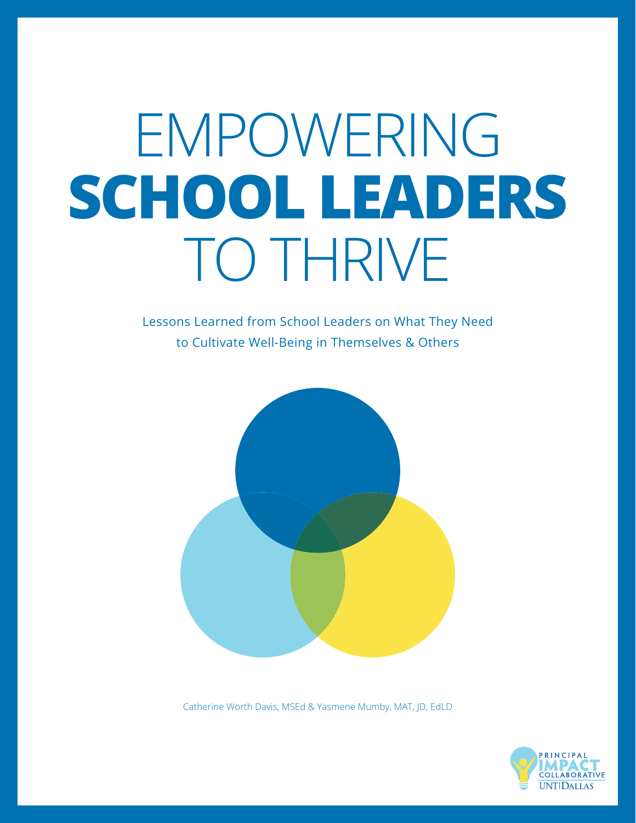# EMPOWERING **SCHOOL LEADERS** TO THRIVE

Lessons Learned from School Leaders on What They Need to Cultivate Well-Being in Themselves & Others



Catherine Worth Davis, MSEd & Yasmene Mumby, MAT, JD, EdLD

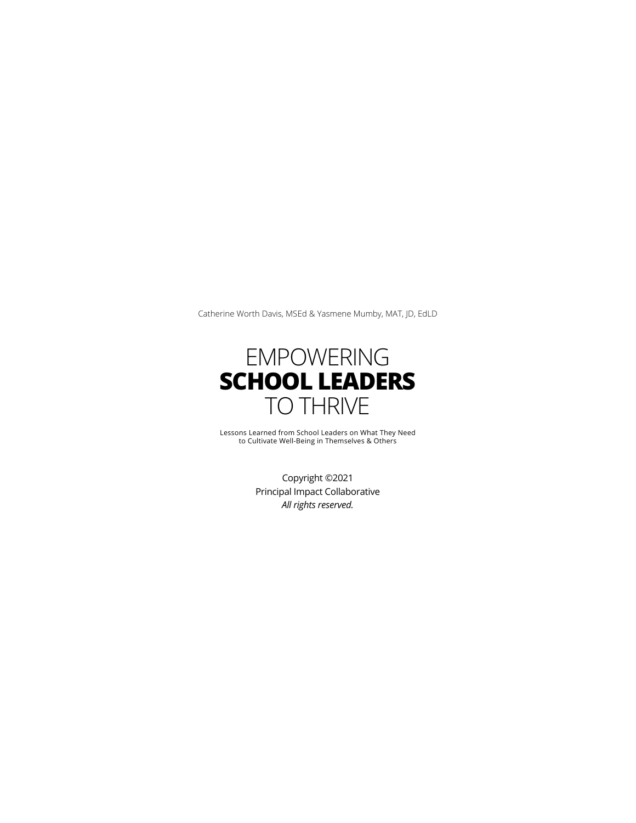Catherine Worth Davis, MSEd & Yasmene Mumby, MAT, JD, EdLD



Lessons Learned from School Leaders on What They Need to Cultivate Well-Being in Themselves & Others

Copyright ©2021 Principal Impact Collaborative *All rights reserved.*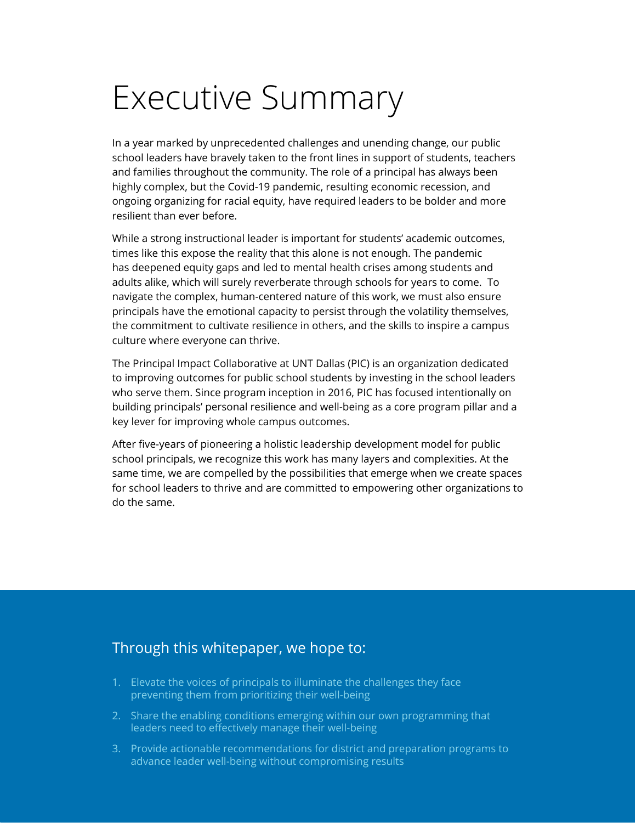### Executive Summary

In a year marked by unprecedented challenges and unending change, our public school leaders have bravely taken to the front lines in support of students, teachers and families throughout the community. The role of a principal has always been highly complex, but the Covid-19 pandemic, resulting economic recession, and ongoing organizing for racial equity, have required leaders to be bolder and more resilient than ever before.

While a strong instructional leader is important for students' academic outcomes, times like this expose the reality that this alone is not enough. The pandemic has deepened equity gaps and led to mental health crises among students and adults alike, which will surely reverberate through schools for years to come. To navigate the complex, human-centered nature of this work, we must also ensure principals have the emotional capacity to persist through the volatility themselves, the commitment to cultivate resilience in others, and the skills to inspire a campus culture where everyone can thrive.

The Principal Impact Collaborative at UNT Dallas (PIC) is an organization dedicated to improving outcomes for public school students by investing in the school leaders who serve them. Since program inception in 2016, PIC has focused intentionally on building principals' personal resilience and well-being as a core program pillar and a key lever for improving whole campus outcomes.

After five-years of pioneering a holistic leadership development model for public school principals, we recognize this work has many layers and complexities. At the same time, we are compelled by the possibilities that emerge when we create spaces for school leaders to thrive and are committed to empowering other organizations to do the same.

### Through this whitepaper, we hope to:

- 1. Elevate the voices of principals to illuminate the challenges they face preventing them from prioritizing their well-being
- 2. Share the enabling conditions emerging within our own programming that leaders need to effectively manage their well-being
- 3. Provide actionable recommendations for district and preparation programs to advance leader well-being without compromising results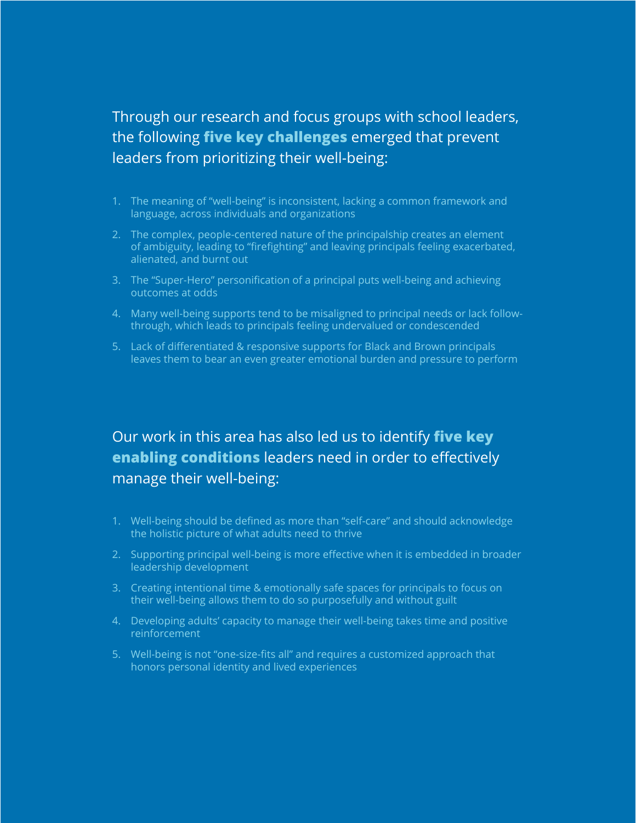### Through our research and focus groups with school leaders, the following **five key challenges** emerged that prevent leaders from prioritizing their well-being:

- 1. The meaning of "well-being" is inconsistent, lacking a common framework and language, across individuals and organizations
- 2. The complex, people-centered nature of the principalship creates an element of ambiguity, leading to "firefighting" and leaving principals feeling exacerbated, alienated, and burnt out
- 3. The "Super-Hero" personification of a principal puts well-being and achieving outcomes at odds
- 4. Many well-being supports tend to be misaligned to principal needs or lack followthrough, which leads to principals feeling undervalued or condescended
- 5. Lack of differentiated & responsive supports for Black and Brown principals leaves them to bear an even greater emotional burden and pressure to perform

### Our work in this area has also led us to identify **five key enabling conditions** leaders need in order to effectively manage their well-being:

- 1. Well-being should be defined as more than "self-care" and should acknowledge the holistic picture of what adults need to thrive
- 2. Supporting principal well-being is more effective when it is embedded in broader leadership development
- 3. Creating intentional time & emotionally safe spaces for principals to focus on their well-being allows them to do so purposefully and without guilt
- 4. Developing adults' capacity to manage their well-being takes time and positive reinforcement
- 5. Well-being is not "one-size-fits all" and requires a customized approach that honors personal identity and lived experiences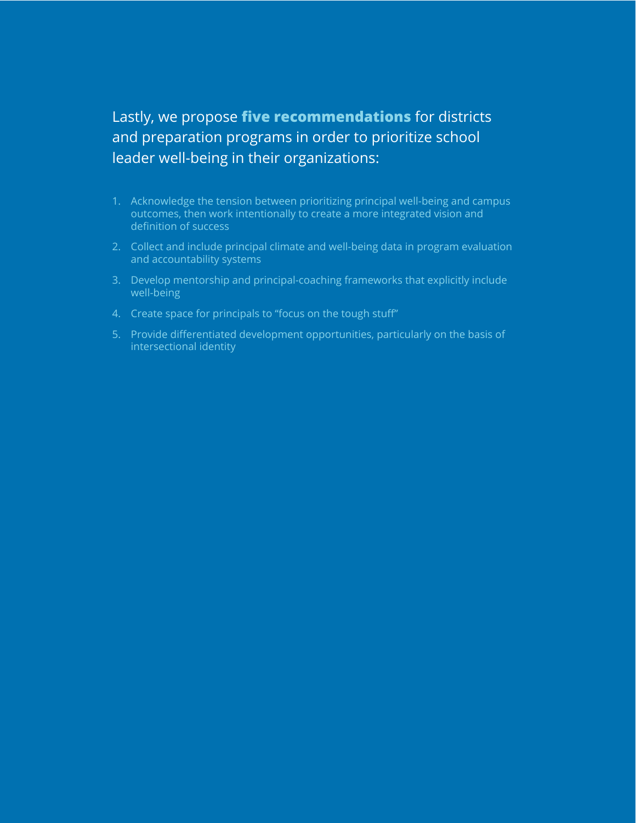### Lastly, we propose **five recommendations** for districts and preparation programs in order to prioritize school leader well-being in their organizations:

- 1. Acknowledge the tension between prioritizing principal well-being and campus outcomes, then work intentionally to create a more integrated vision and definition of success
- 2. Collect and include principal climate and well-being data in program evaluation and accountability systems
- 3. Develop mentorship and principal-coaching frameworks that explicitly include well-being
- 4. Create space for principals to "focus on the tough stuff"
- 5. Provide differentiated development opportunities, particularly on the basis of intersectional identity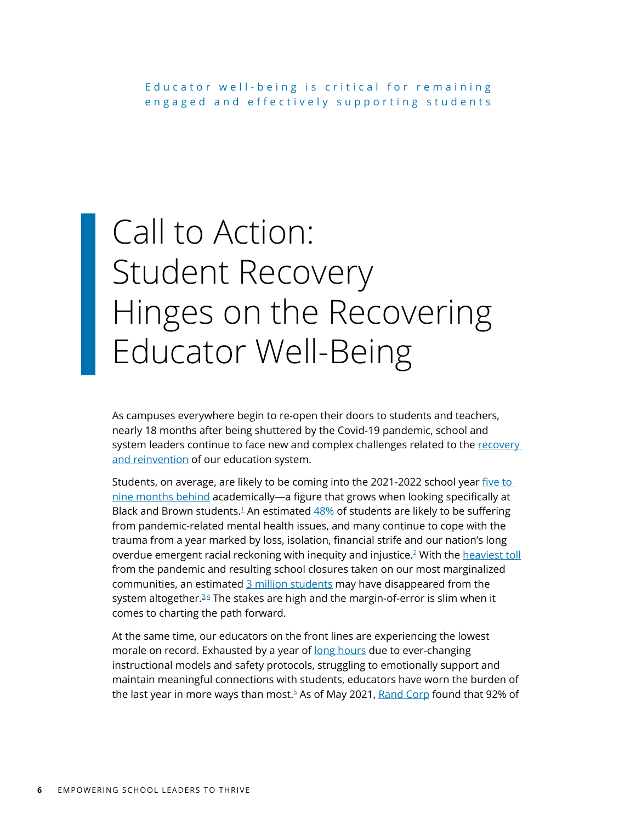# Call to Action: Student Recovery Hinges on the Recovering Educator Well-Being

As campuses everywhere begin to re-open their doors to students and teachers, nearly 18 months after being shuttered by the Covid-19 pandemic, school and system leaders continue to face new and complex challenges related to the recovery [and reinvention](https://static1.squarespace.com/static/55ca46dee4b0fc536f717de8/t/5ea333afbcf54e479b342873/1587753908967/Three+Jobs_Transcend_20200424.pdf) of our education system.

Students, on average, are likely to be coming into the 2021-2022 school year [five to](https://www.mckinsey.com/industries/public-and-social-sector/our-insights/covid-19-and-learning-loss-disparities-grow-and-students-need-help)  [nine months behind](https://www.mckinsey.com/industries/public-and-social-sector/our-insights/covid-19-and-learning-loss-disparities-grow-and-students-need-help) academically—a figure that grows when looking specifically at Black and Brown students.<sup>1</sup> An estimated  $48\%$  of students are likely to be suffering from pandemic-related mental health issues, and many continue to cope with the trauma from a year marked by loss, isolation, financial strife and our nation's long overdue emergent racial reckoning with inequity and injustice.[2](#page-31-0) With the [heaviest toll](https://www.mckinsey.com/industries/healthcare-systems-and-services/our-insights/returning-to-resilience-the-impact-of-covid-19-on-behavioral-health) from the pandemic and resulting school closures taken on our most marginalized communities, an estimated [3 million students](https://bellwethereducation.org/publication/missing-margins-estimating-scale-covid-19-attendance-crisis#Introduction) may have disappeared from the system altogether. $34$  The stakes are high and the margin-of-error is slim when it comes to charting the path forward.

At the same time, our educators on the front lines are experiencing the lowest morale on record. Exhausted by a year of [long hours](https://www.rand.org/pubs/research_reports/RRA168-4.html) due to ever-changing instructional models and safety protocols, struggling to emotionally support and maintain meaningful connections with students, educators have worn the burden of the last year in more ways than most.<sup>[5](#page-31-0)</sup> As of May 2021, [Rand Corp](https://www.rand.org/pubs/research_reports/RRA1108-1.html) found that 92% of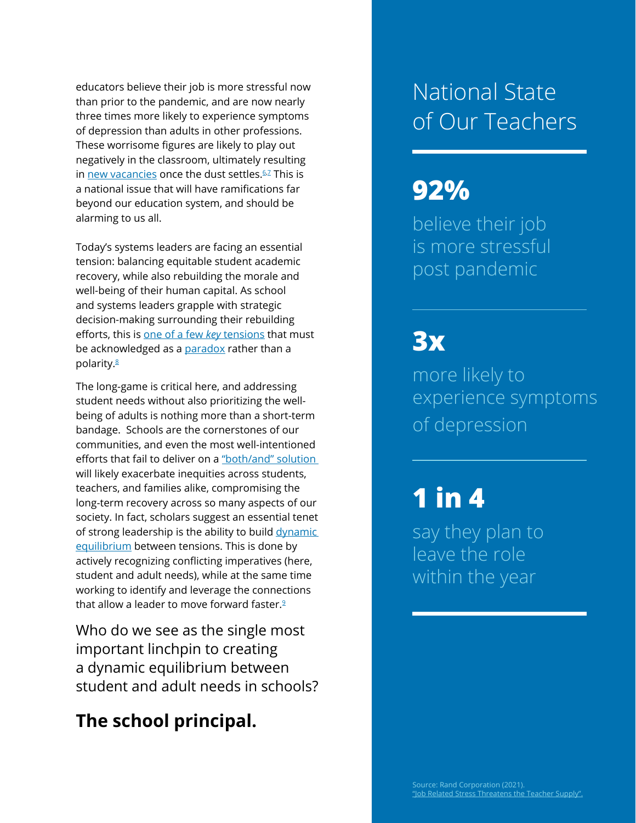educators believe their job is more stressful now than prior to the pandemic, and are now nearly three times more likely to experience symptoms of depression than adults in other professions. These worrisome figures are likely to play out negatively in the classroom, ultimately resulting in [new vacancies](https://www.rand.org/pubs/research_reports/RRA1108-1.html) once the dust settles. $62$  $62$  This is a national issue that will have ramifications far beyond our education system, and should be alarming to us all.

Today's systems leaders are facing an essential tension: balancing equitable student academic recovery, while also rebuilding the morale and well-being of their human capital. As school and systems leaders grapple with strategic decision-making surrounding their rebuilding efforts, this is [one of a few](https://drive.google.com/file/d/16W5sqqk1u6CeNYXc-BGYsLnj2Dn5lTxx/view) *key* tensions that must be acknowledged as a [paradox](https://www.learninginnovationslab.org/3235-2/) rather than a polarity[.8](#page-31-0)

The long-game is critical here, and addressing student needs without also prioritizing the wellbeing of adults is nothing more than a short-term bandage. Schools are the cornerstones of our communities, and even the most well-intentioned efforts that fail to deliver on a ["both/and" solution](https://hbr.org/2016/05/both-and-leadership)  will likely exacerbate inequities across students, teachers, and families alike, compromising the long-term recovery across so many aspects of our society. In fact, scholars suggest an essential tenet of strong leadership is the ability to build dynamic [equilibrium](https://hbr.org/2016/05/both-and-leadership) between tensions. This is done by actively recognizing conflicting imperatives (here, student and adult needs), while at the same time working to identify and leverage the connections that allow a leader to move forward faster.<sup>[9](#page-31-0)</sup>

Who do we see as the single most important linchpin to creating a dynamic equilibrium between student and adult needs in schools?

### **The school principal.**

### National State of Our Teachers

### **92%**

believe their job is more stressful post pandemic

### **3x**

more likely to experience symptoms of depression

### **1 in 4**

say they plan to leave the role within the year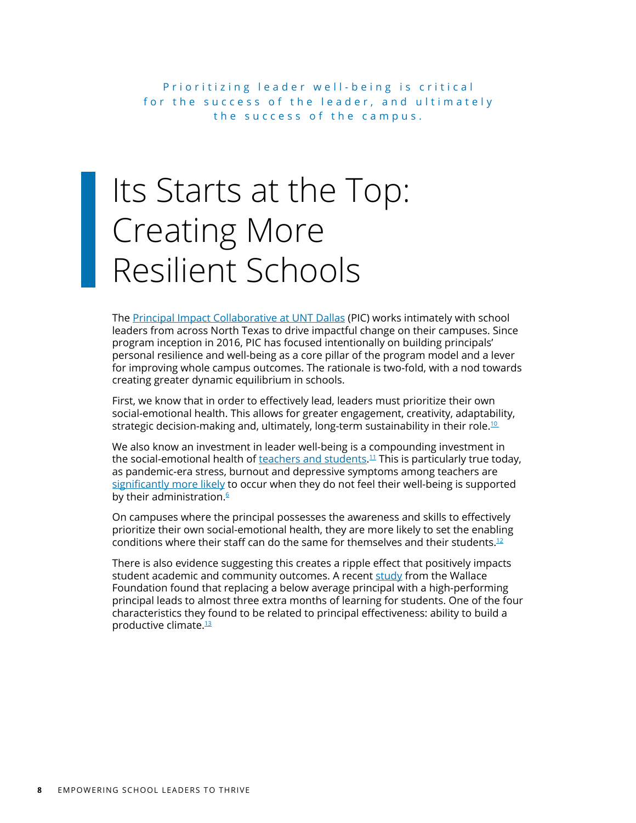Prioritizing leader well-being is critical for the success of the leader, and ultimately the success of the campus.

# Its Starts at the Top: Creating More Resilient Schools

The [Principal Impact Collaborative at UNT Dallas](http://www.principalimpactcollaborative.org/) (PIC) works intimately with school leaders from across North Texas to drive impactful change on their campuses. Since program inception in 2016, PIC has focused intentionally on building principals' personal resilience and well-being as a core pillar of the program model and a lever for improving whole campus outcomes. The rationale is two-fold, with a nod towards creating greater dynamic equilibrium in schools.

First, we know that in order to effectively lead, leaders must prioritize their own social-emotional health. This allows for greater engagement, creativity, adaptability, strategic decision-making and, ultimately, long-term sustainability in their role.<sup>10</sup>

We also know an investment in leader well-being is a compounding investment in the social-emotional health of <u>teachers and students.<sup>[11](#page-31-0)</sup> Thi</u>s is particularly true today, as pandemic-era stress, burnout and depressive symptoms among teachers are [significantly more likely](https://www.rand.org/pubs/research_reports/RRA1108-1.html) to occur when they do not feel their well-being is supported by their administration. $6$ 

On campuses where the principal possesses the awareness and skills to effectively prioritize their own social-emotional health, they are more likely to set the enabling conditions where their staff can do the same for themselves and their students.<sup>[12](#page-31-0)</sup>

There is also evidence suggesting this creates a ripple effect that positively impacts student academic and community outcomes. A recent [study](https://www.wallacefoundation.org/knowledge-center/pages/how-principals-affect-students-and-schools-a-systematic-synthesis-of-two-decades-of-research.aspx) from the Wallace Foundation found that replacing a below average principal with a high-performing principal leads to almost three extra months of learning for students. One of the four characteristics they found to be related to principal effectiveness: ability to build a productive climate[.13](#page-31-0)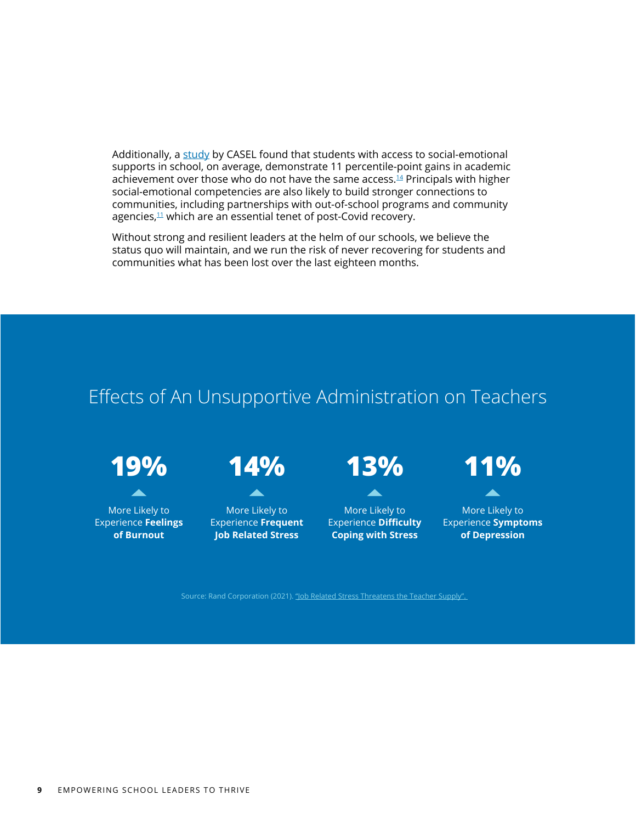Additionally, a [study](https://casel.org/wp-content/uploads/2016/01/meta-analysis-child-development-1.pdf) by CASEL found that students with access to social-emotional supports in school, on average, demonstrate 11 percentile-point gains in academic achievement over those who do not have the same access.<sup>[14](#page-31-0)</sup> Principals with higher social-emotional competencies are also likely to build stronger connections to communities, including partnerships with out-of-school programs and community agencies, $11$  which are an essential tenet of post-Covid recovery.

Without strong and resilient leaders at the helm of our schools, we believe the status quo will maintain, and we run the risk of never recovering for students and communities what has been lost over the last eighteen months.

### Effects of An Unsupportive Administration on Teachers

**19% 14%**

More Likely to Experience **Feelings of Burnout**



More Likely to Experience **Frequent Job Related Stress**



A

More Likely to Experience **Difficulty Coping with Stress**



More Likely to Experience **Symptoms of Depression**

Source: Rand Corporation (2021). "Job Related Stress Threatens the Teacher Supply".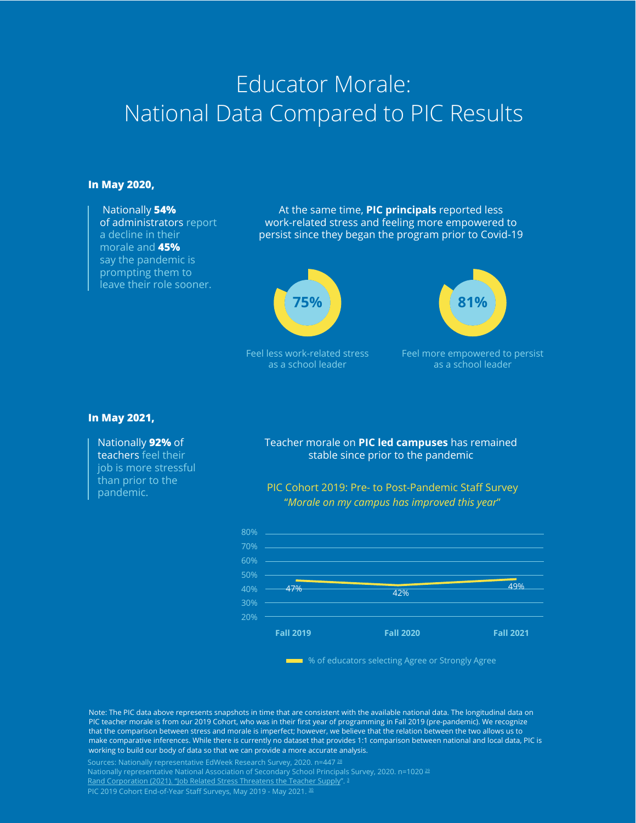### Educator Morale: National Data Compared to PIC Results

#### **In May 2020,**

Nationally **54%** of administrators report a decline in their morale and **45%** say the pandemic is prompting them to leave their role sooner.

At the same time, **PIC principals** reported less work-related stress and feeling more empowered to persist since they began the program prior to Covid-19



Feel less work-related stress as a school leader



Feel more empowered to persist as a school leader

#### **In May 2021,**

#### Nationally **92%** of

teachers feel their job is more stressful than prior to the pandemic.

#### Teacher morale on **PIC led campuses** has remained stable since prior to the pandemic





**WE ARRY MET AS ONE OF STRONG WARREN** We of educators selecting Agree or Strongly Agree

Note: The PIC data above represents snapshots in time that are consistent with the available national data. The longitudinal data on PIC teacher morale is from our 2019 Cohort, who was in their first year of programming in Fall 2019 (pre-pandemic). We recognize that the comparison between stress and morale is imperfect; however, we believe that the relation between the two allows us to make comparative inferences. While there is currently no dataset that provides 1:1 comparison between national and local data, PIC is working to build our body of data so that we can provide a more accurate analysis.

Sources: Nationally representative EdWeek Research Survey, 2020. n=447 [28](#page-32-0) [Rand Corporation \(2021\). "Job Related Stress Threatens the Teacher Supply](https://www.rand.org/content/dam/rand/pubs/research_reports/RRA1100/RRA1108-1/RAND_RRA1108-2.appendixes.pdf)". <sup>3</sup> PIC 2019 Cohort End-of-Year Staff Surveys, May 2019 - May 2021. [30](#page-32-0)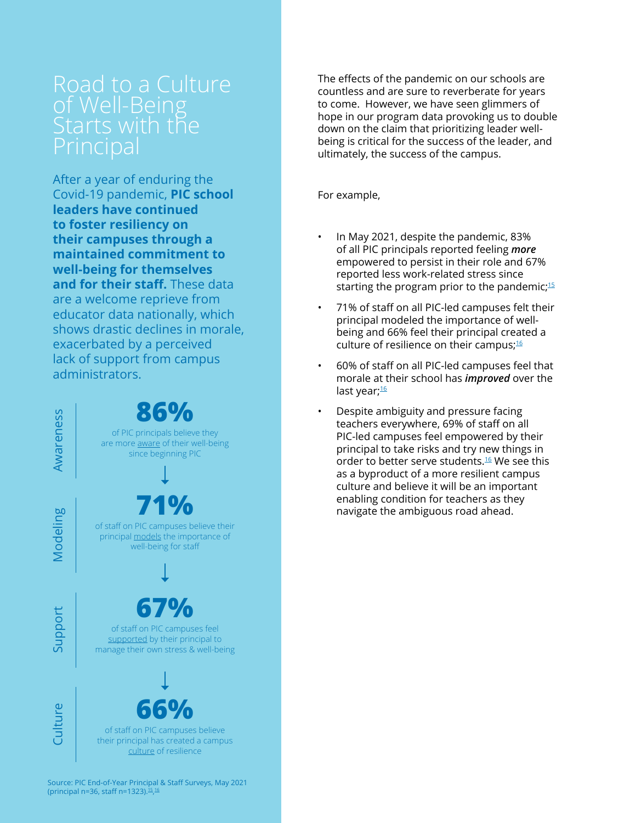# of Well-Being

After a year of enduring the Covid-19 pandemic, **PIC school leaders have continued to foster resiliency on their campuses through a maintained commitment to well-being for themselves and for their staff.** These data are a welcome reprieve from educator data nationally, which shows drastic declines in morale, exacerbated by a perceived lack of support from campus administrators.

**86%** Awareness Awareness of PIC principals believe they are more aware of their well-being since beginning PIC **71%** Modeling of staff on PIC campuses believe their principal models the importance of well-being for staff **67%** Support of staff on PIC campuses feel supported by their principal to manage their own stress & well-being **Culture 66%** of staff on PIC campuses believe their principal has created a campus culture of resilience

The effects of the pandemic on our schools are countless and are sure to reverberate for years to come. However, we have seen glimmers of hope in our program data provoking us to double down on the claim that prioritizing leader wellbeing is critical for the success of the leader, and ultimately, the success of the campus.

For example,

- In May 2021, despite the pandemic, 83% of all PIC principals reported feeling *more* empowered to persist in their role and 67% reported less work-related stress since starting the program prior to the pandemic; $15$
- 71% of staff on all PIC-led campuses felt their principal modeled the importance of wellbeing and 66% feel their principal created a culture of resilience on their campus; $16$
- 60% of staff on all PIC-led campuses feel that morale at their school has *improved* over the last year;<sup>[16](#page-31-0)</sup>
- Despite ambiguity and pressure facing teachers everywhere, 69% of staff on all PIC-led campuses feel empowered by their principal to take risks and try new things in order to better serve students.<sup>[16](#page-31-0)</sup> We see this as a byproduct of a more resilient campus culture and believe it will be an important enabling condition for teachers as they navigate the ambiguous road ahead.

**11** EMPOWERING SCH[OO](#page-31-0)L LEADERS TO THRIVE (principal n=36, staff n=1323).15, 16Source: PIC End-of-Year Principal & Staff Surveys, May 2021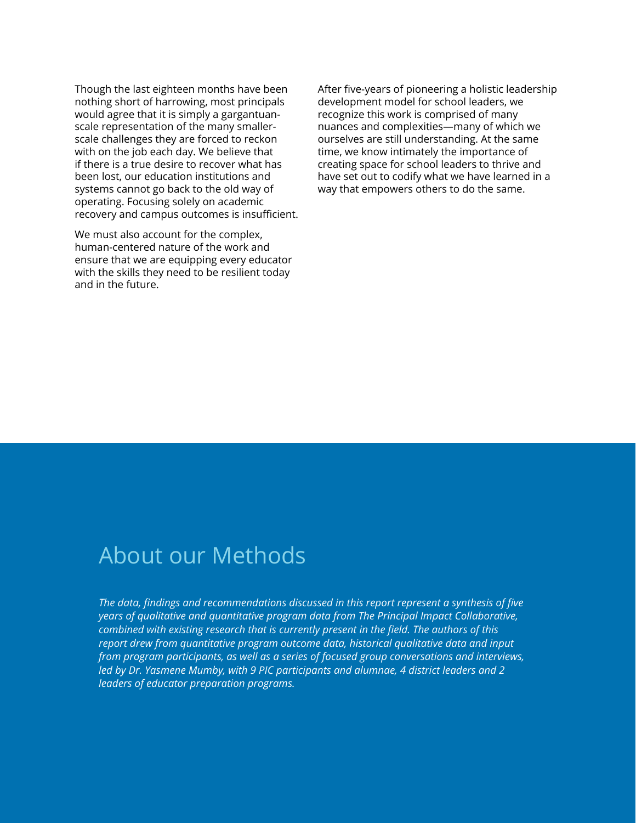Though the last eighteen months have been nothing short of harrowing, most principals would agree that it is simply a gargantuanscale representation of the many smallerscale challenges they are forced to reckon with on the job each day. We believe that if there is a true desire to recover what has been lost, our education institutions and systems cannot go back to the old way of operating. Focusing solely on academic recovery and campus outcomes is insufficient.

We must also account for the complex, human-centered nature of the work and ensure that we are equipping every educator with the skills they need to be resilient today and in the future.

After five-years of pioneering a holistic leadership development model for school leaders, we recognize this work is comprised of many nuances and complexities—many of which we ourselves are still understanding. At the same time, we know intimately the importance of creating space for school leaders to thrive and have set out to codify what we have learned in a way that empowers others to do the same.

### About our Methods

*The data, findings and recommendations discussed in this report represent a synthesis of five years of qualitative and quantitative program data from The Principal Impact Collaborative, combined with existing research that is currently present in the field. The authors of this report drew from quantitative program outcome data, historical qualitative data and input from program participants, as well as a series of focused group conversations and interviews, led by Dr. Yasmene Mumby, with 9 PIC participants and alumnae, 4 district leaders and 2 leaders of educator preparation programs.*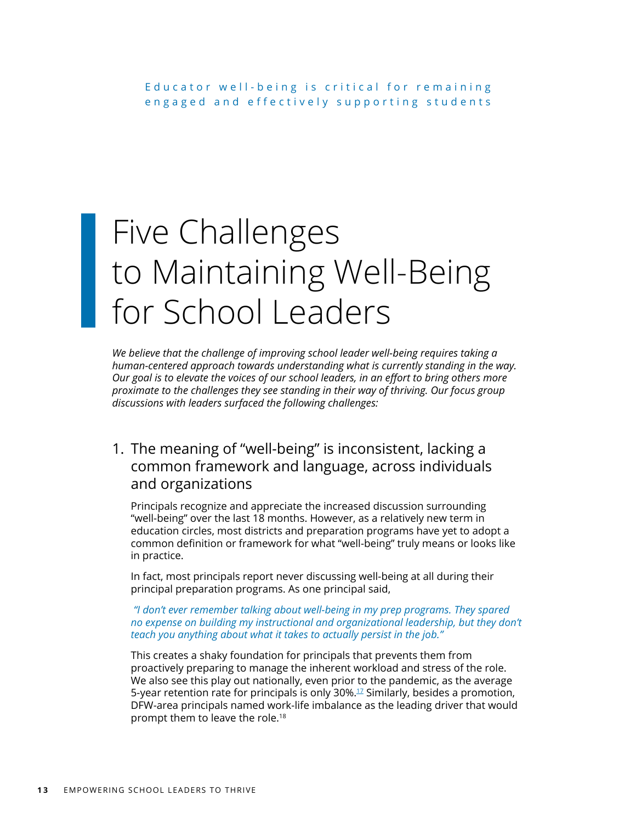# Five Challenges to Maintaining Well-Being for School Leaders

*We believe that the challenge of improving school leader well-being requires taking a human-centered approach towards understanding what is currently standing in the way. Our goal is to elevate the voices of our school leaders, in an effort to bring others more proximate to the challenges they see standing in their way of thriving. Our focus group discussions with leaders surfaced the following challenges:*

### 1. The meaning of "well-being" is inconsistent, lacking a common framework and language, across individuals and organizations

Principals recognize and appreciate the increased discussion surrounding "well-being" over the last 18 months. However, as a relatively new term in education circles, most districts and preparation programs have yet to adopt a common definition or framework for what "well-being" truly means or looks like in practice.

In fact, most principals report never discussing well-being at all during their principal preparation programs. As one principal said,

#### *"I don't ever remember talking about well-being in my prep programs. They spared no expense on building my instructional and organizational leadership, but they don't teach you anything about what it takes to actually persist in the job."*

This creates a shaky foundation for principals that prevents them from proactively preparing to manage the inherent workload and stress of the role. We also see this play out nationally, even prior to the pandemic, as the average 5-year retention rate for principals is only  $30\%$ .<sup>17</sup> Similarly, besides a promotion, DFW-area principals named work-life imbalance as the leading driver that would prompt them to leave the role.18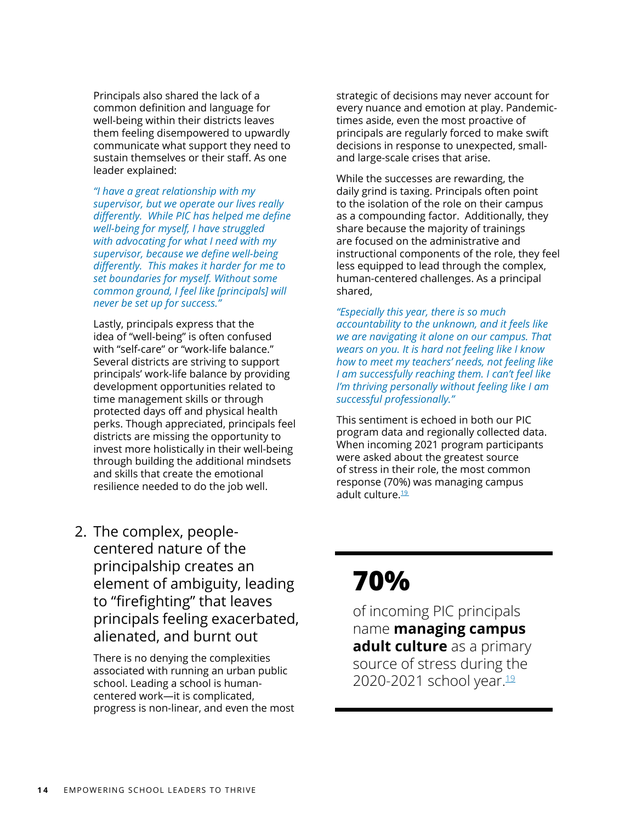Principals also shared the lack of a common definition and language for well-being within their districts leaves them feeling disempowered to upwardly communicate what support they need to sustain themselves or their staff. As one leader explained:

*"I have a great relationship with my supervisor, but we operate our lives really differently. While PIC has helped me define well-being for myself, I have struggled with advocating for what I need with my supervisor, because we define well-being differently. This makes it harder for me to set boundaries for myself. Without some common ground, I feel like [principals] will never be set up for success."*

Lastly, principals express that the idea of "well-being" is often confused with "self-care" or "work-life balance." Several districts are striving to support principals' work-life balance by providing development opportunities related to time management skills or through protected days off and physical health perks. Though appreciated, principals feel districts are missing the opportunity to invest more holistically in their well-being through building the additional mindsets and skills that create the emotional resilience needed to do the job well.

strategic of decisions may never account for every nuance and emotion at play. Pandemictimes aside, even the most proactive of principals are regularly forced to make swift decisions in response to unexpected, smalland large-scale crises that arise.

While the successes are rewarding, the daily grind is taxing. Principals often point to the isolation of the role on their campus as a compounding factor. Additionally, they share because the majority of trainings are focused on the administrative and instructional components of the role, they feel less equipped to lead through the complex, human-centered challenges. As a principal shared,

*"Especially this year, there is so much accountability to the unknown, and it feels like we are navigating it alone on our campus. That wears on you. It is hard not feeling like I know how to meet my teachers' needs, not feeling like I am successfully reaching them. I can't feel like I'm thriving personally without feeling like I am successful professionally."*

This sentiment is echoed in both our PIC program data and regionally collected data. When incoming 2021 program participants were asked about the greatest source of stress in their role, the most common response (70%) was managing campus adult culture.<sup>19</sup>

2. The complex, peoplecentered nature of the principalship creates an element of ambiguity, leading to "firefighting" that leaves principals feeling exacerbated, alienated, and burnt out

There is no denying the complexities associated with running an urban public school. Leading a school is humancentered work—it is complicated, progress is non-linear, and even the most

### **70%**

of incoming PIC principals name **managing campus adult culture** as a primary source of stress during the 2020-2021 school year.<sup>[19](#page-32-0)</sup>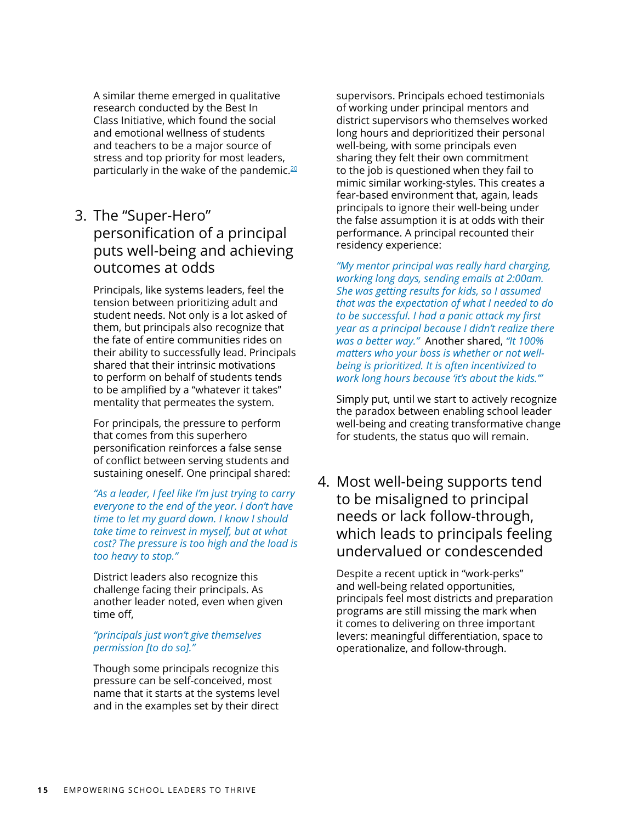A similar theme emerged in qualitative research conducted by the Best In Class Initiative, which found the social and emotional wellness of students and teachers to be a major source of stress and top priority for most leaders, particularly in the wake of the pandemic.<sup>[20](#page-32-0)</sup>

3. The "Super-Hero" personification of a principal puts well-being and achieving outcomes at odds

Principals, like systems leaders, feel the tension between prioritizing adult and student needs. Not only is a lot asked of them, but principals also recognize that the fate of entire communities rides on their ability to successfully lead. Principals shared that their intrinsic motivations to perform on behalf of students tends to be amplified by a "whatever it takes" mentality that permeates the system.

For principals, the pressure to perform that comes from this superhero personification reinforces a false sense of conflict between serving students and sustaining oneself. One principal shared:

*"As a leader, I feel like I'm just trying to carry everyone to the end of the year. I don't have time to let my guard down. I know I should take time to reinvest in myself, but at what cost? The pressure is too high and the load is too heavy to stop."*

District leaders also recognize this challenge facing their principals. As another leader noted, even when given time off,

#### *"principals just won't give themselves permission [to do so]."*

Though some principals recognize this pressure can be self-conceived, most name that it starts at the systems level and in the examples set by their direct supervisors. Principals echoed testimonials of working under principal mentors and district supervisors who themselves worked long hours and deprioritized their personal well-being, with some principals even sharing they felt their own commitment to the job is questioned when they fail to mimic similar working-styles. This creates a fear-based environment that, again, leads principals to ignore their well-being under the false assumption it is at odds with their performance. A principal recounted their residency experience:

*"My mentor principal was really hard charging, working long days, sending emails at 2:00am. She was getting results for kids, so I assumed that was the expectation of what I needed to do to be successful. I had a panic attack my first year as a principal because I didn't realize there was a better way."* Another shared, *"It 100% matters who your boss is whether or not wellbeing is prioritized. It is often incentivized to work long hours because 'it's about the kids.'"*

Simply put, until we start to actively recognize the paradox between enabling school leader well-being and creating transformative change for students, the status quo will remain.

4. Most well-being supports tend to be misaligned to principal needs or lack follow-through, which leads to principals feeling undervalued or condescended

Despite a recent uptick in "work-perks" and well-being related opportunities, principals feel most districts and preparation programs are still missing the mark when it comes to delivering on three important levers: meaningful differentiation, space to operationalize, and follow-through.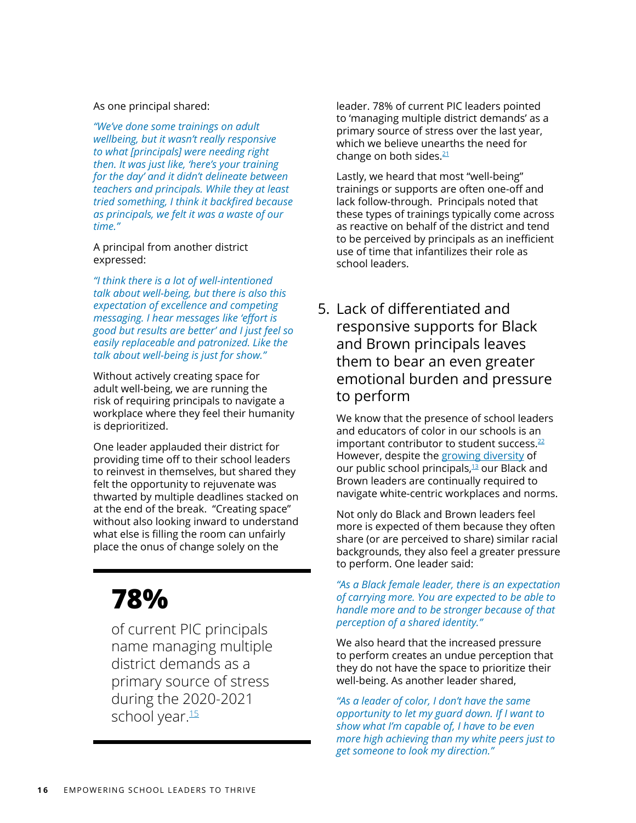As one principal shared:

*"We've done some trainings on adult wellbeing, but it wasn't really responsive to what [principals] were needing right then. It was just like, 'here's your training for the day' and it didn't delineate between teachers and principals. While they at least tried something, I think it backfired because as principals, we felt it was a waste of our time."*

#### A principal from another district expressed:

*"I think there is a lot of well-intentioned talk about well-being, but there is also this expectation of excellence and competing messaging. I hear messages like 'effort is good but results are better' and I just feel so easily replaceable and patronized. Like the talk about well-being is just for show."*

Without actively creating space for adult well-being, we are running the risk of requiring principals to navigate a workplace where they feel their humanity is deprioritized.

One leader applauded their district for providing time off to their school leaders to reinvest in themselves, but shared they felt the opportunity to rejuvenate was thwarted by multiple deadlines stacked on at the end of the break. "Creating space" without also looking inward to understand what else is filling the room can unfairly place the onus of change solely on the

### **78%**

of current PIC principals name managing multiple district demands as a primary source of stress during the 2020-2021 school year.<sup>15</sup>

leader. 78% of current PIC leaders pointed to 'managing multiple district demands' as a primary source of stress over the last year, which we believe unearths the need for change on both sides. $21$ 

Lastly, we heard that most "well-being" trainings or supports are often one-off and lack follow-through. Principals noted that these types of trainings typically come across as reactive on behalf of the district and tend to be perceived by principals as an inefficient use of time that infantilizes their role as school leaders.

5. Lack of differentiated and responsive supports for Black and Brown principals leaves them to bear an even greater emotional burden and pressure to perform

We know that the presence of school leaders and educators of color in our schools is an important contributor to student success.<sup>22</sup> However, despite the [growing diversity](https://www.wallacefoundation.org/knowledge-center/Documents/How-Principals-Affect-Students-and-Schools.pdf) of our public school principals, $13$  our Black and Brown leaders are continually required to navigate white-centric workplaces and norms.

Not only do Black and Brown leaders feel more is expected of them because they often share (or are perceived to share) similar racial backgrounds, they also feel a greater pressure to perform. One leader said:

*"As a Black female leader, there is an expectation of carrying more. You are expected to be able to handle more and to be stronger because of that perception of a shared identity."*

We also heard that the increased pressure to perform creates an undue perception that they do not have the space to prioritize their well-being. As another leader shared,

*"As a leader of color, I don't have the same opportunity to let my guard down. If I want to show what I'm capable of, I have to be even more high achieving than my white peers just to get someone to look my direction."*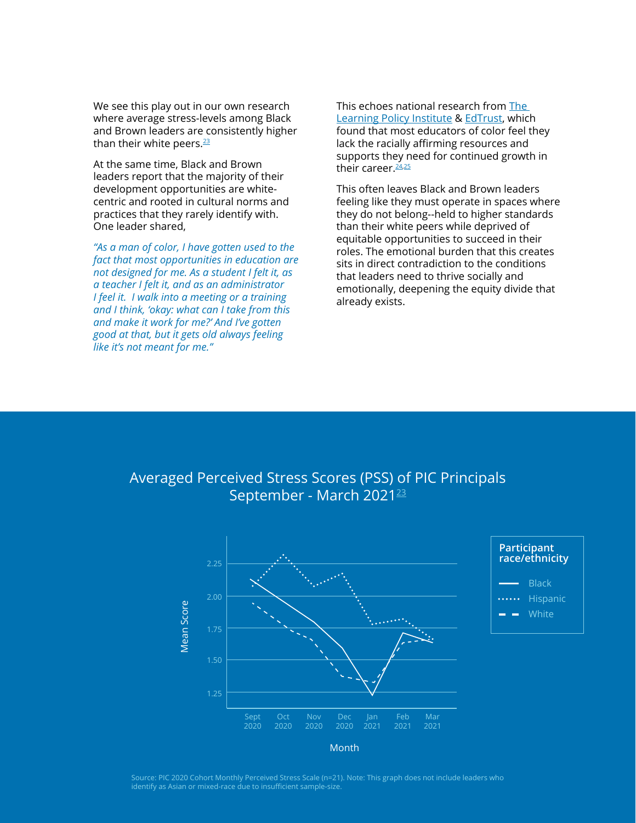We see this play out in our own research where average stress-levels among Black and Brown leaders are consistently higher than their white peers.<sup>23</sup>

At the same time, Black and Brown leaders report that the majority of their development opportunities are whitecentric and rooted in cultural norms and practices that they rarely identify with. One leader shared,

*"As a man of color, I have gotten used to the fact that most opportunities in education are not designed for me. As a student I felt it, as a teacher I felt it, and as an administrator I feel it. I walk into a meeting or a training and I think, 'okay: what can I take from this and make it work for me?' And I've gotten good at that, but it gets old always feeling like it's not meant for me."*

This echoes national research from [The](https://learningpolicyinstitute.org/product/diversifying-teaching-profession-report)  [Learning Policy Institute](https://learningpolicyinstitute.org/product/diversifying-teaching-profession-report) & [EdTrust,](https://teachplus.org/sites/default/files/downloads/teachers_of_color_retention_.pdf) which found that most educators of color feel they lack the racially affirming resources and supports they need for continued growth in their career. $24.25$ 

This often leaves Black and Brown leaders feeling like they must operate in spaces where they do not belong--held to higher standards than their white peers while deprived of equitable opportunities to succeed in their roles. The emotional burden that this creates sits in direct contradiction to the conditions that leaders need to thrive socially and emotionally, deepening the equity divide that already exists.

> **Black** Hispanic **White**

### Averaged Perceived Stress Scores (PSS) of PIC Principals September - March 2021<sup>[23](#page-32-0)</sup>



Source: PIC 2020 Cohort Monthly Perceived Stress Scale (n=21). Note: This graph does not include leaders who identify as Asian or mixed-race due to insufficient sample-size.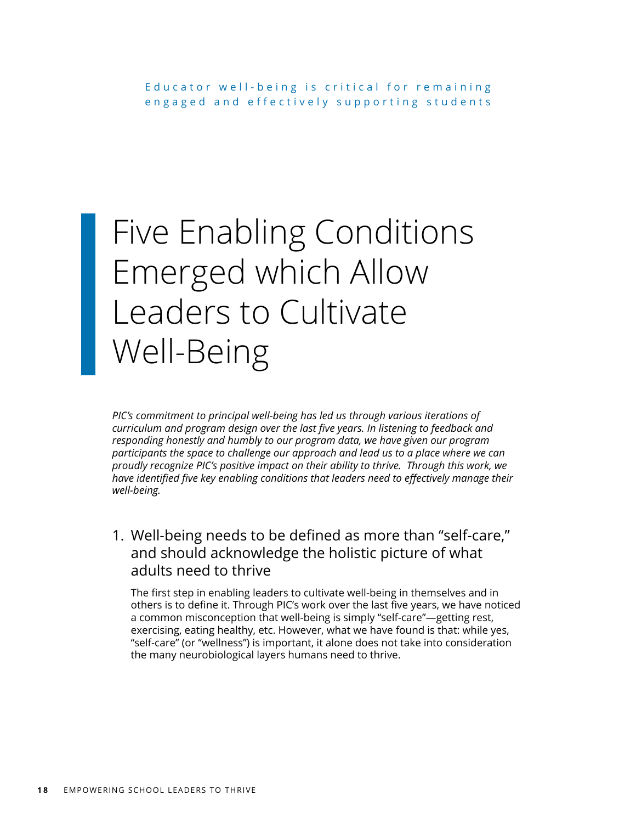# Five Enabling Conditions Emerged which Allow Leaders to Cultivate Well-Being

*PIC's commitment to principal well-being has led us through various iterations of curriculum and program design over the last five years. In listening to feedback and responding honestly and humbly to our program data, we have given our program participants the space to challenge our approach and lead us to a place where we can proudly recognize PIC's positive impact on their ability to thrive. Through this work, we*  have identified five key enabling conditions that leaders need to effectively manage their *well-being.*

1. Well-being needs to be defined as more than "self-care," and should acknowledge the holistic picture of what adults need to thrive

The first step in enabling leaders to cultivate well-being in themselves and in others is to define it. Through PIC's work over the last five years, we have noticed a common misconception that well-being is simply "self-care"—getting rest, exercising, eating healthy, etc. However, what we have found is that: while yes, "self-care" (or "wellness") is important, it alone does not take into consideration the many neurobiological layers humans need to thrive.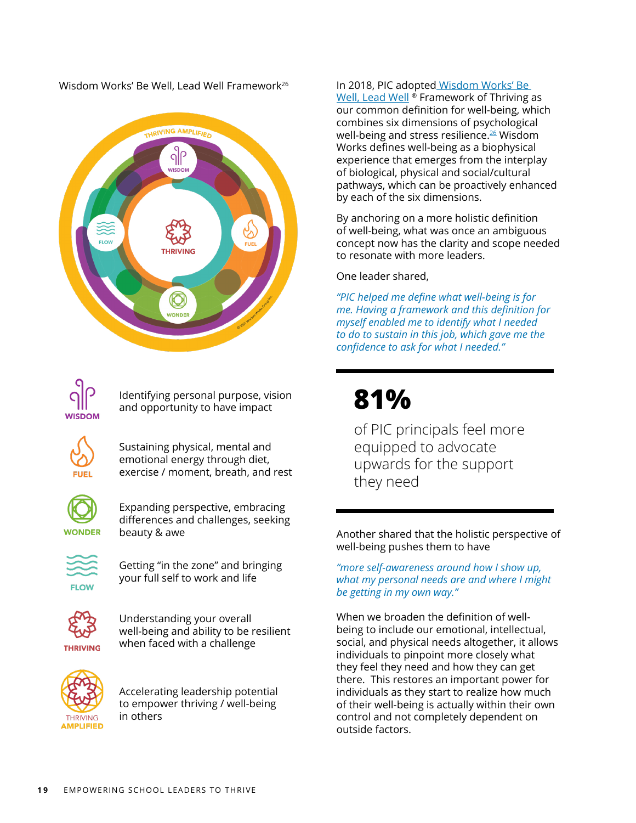Wisdom Works' Be Well, Lead Well Framework<sup>26</sup>





Identifying personal purpose, vision and opportunity to have impact

Sustaining physical, mental and emotional energy through diet, exercise / moment, breath, and rest



Expanding perspective, embracing differences and challenges, seeking beauty & awe



Getting "in the zone" and bringing your full self to work and life



Understanding your overall well-being and ability to be resilient when faced with a challenge



Accelerating leadership potential to empower thriving / well-being in others

#### In 2018, PIC adopte[d Wisdom Works' Be](https://www.bewellleadwell.com/wp-content/uploads/2021/06/BeWellLeadWell-Research-Insights-Paradoxical-Leadership-Report-2021.pdf)

[Well, Lead Well](https://www.bewellleadwell.com/wp-content/uploads/2021/06/BeWellLeadWell-Research-Insights-Paradoxical-Leadership-Report-2021.pdf)<sup>®</sup> Framework of Thriving as our common definition for well-being, which combines six dimensions of psychological well-being and stress resilience.<sup>[26](#page-32-0)</sup> Wisdom Works defines well-being as a biophysical experience that emerges from the interplay of biological, physical and social/cultural pathways, which can be proactively enhanced by each of the six dimensions.

By anchoring on a more holistic definition of well-being, what was once an ambiguous concept now has the clarity and scope needed to resonate with more leaders.

One leader shared,

*"PIC helped me define what well-being is for me. Having a framework and this definition for myself enabled me to identify what I needed to do to sustain in this job, which gave me the confidence to ask for what I needed."*

### **81%**

of PIC principals feel more equipped to advocate upwards for the support they need

Another shared that the holistic perspective of well-being pushes them to have

*"more self-awareness around how I show up, what my personal needs are and where I might be getting in my own way."*

When we broaden the definition of wellbeing to include our emotional, intellectual, social, and physical needs altogether, it allows individuals to pinpoint more closely what they feel they need and how they can get there. This restores an important power for individuals as they start to realize how much of their well-being is actually within their own control and not completely dependent on outside factors.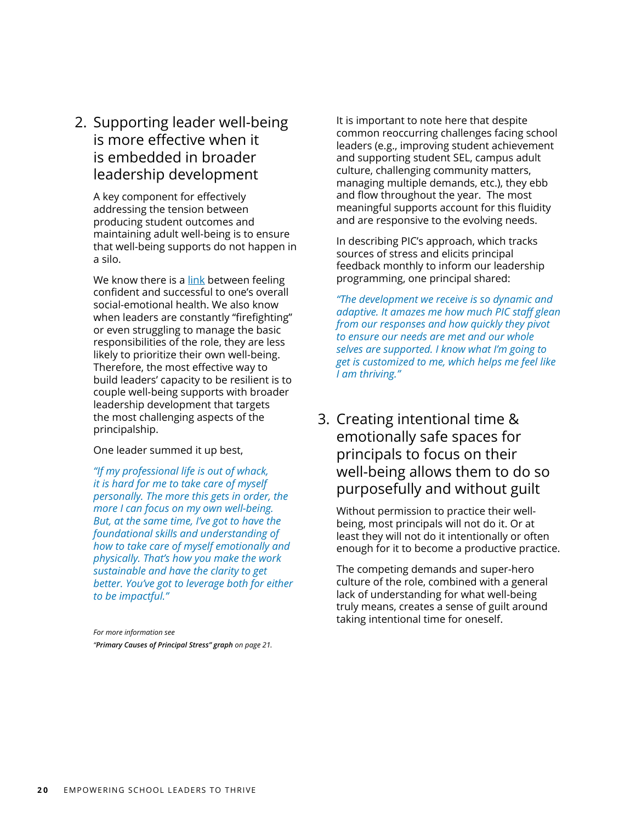2. Supporting leader well-being is more effective when it is embedded in broader leadership development

A key component for effectively addressing the tension between producing student outcomes and maintaining adult well-being is to ensure that well-being supports do not happen in a silo.

We know there is a [link](https://hbr.org/2012/10/mindfulness-helps-you-become-a) between feeling confident and successful to one's overall social-emotional health. We also know when leaders are constantly "firefighting" or even struggling to manage the basic responsibilities of the role, they are less likely to prioritize their own well-being. Therefore, the most effective way to build leaders' capacity to be resilient is to couple well-being supports with broader leadership development that targets the most challenging aspects of the principalship.

#### One leader summed it up best,

*"If my professional life is out of whack, it is hard for me to take care of myself personally. The more this gets in order, the more I can focus on my own well-being. But, at the same time, I've got to have the foundational skills and understanding of how to take care of myself emotionally and physically. That's how you make the work sustainable and have the clarity to get better. You've got to leverage both for either to be impactful."*

*For more information see "Primary Causes of Principal Stress" graph on page 21.* It is important to note here that despite common reoccurring challenges facing school leaders (e.g., improving student achievement and supporting student SEL, campus adult culture, challenging community matters, managing multiple demands, etc.), they ebb and flow throughout the year. The most meaningful supports account for this fluidity and are responsive to the evolving needs.

In describing PIC's approach, which tracks sources of stress and elicits principal feedback monthly to inform our leadership programming, one principal shared:

*"The development we receive is so dynamic and adaptive. It amazes me how much PIC staff glean from our responses and how quickly they pivot to ensure our needs are met and our whole selves are supported. I know what I'm going to get is customized to me, which helps me feel like I am thriving."*

### 3. Creating intentional time & emotionally safe spaces for principals to focus on their well-being allows them to do so purposefully and without guilt

Without permission to practice their wellbeing, most principals will not do it. Or at least they will not do it intentionally or often enough for it to become a productive practice.

The competing demands and super-hero culture of the role, combined with a general lack of understanding for what well-being truly means, creates a sense of guilt around taking intentional time for oneself.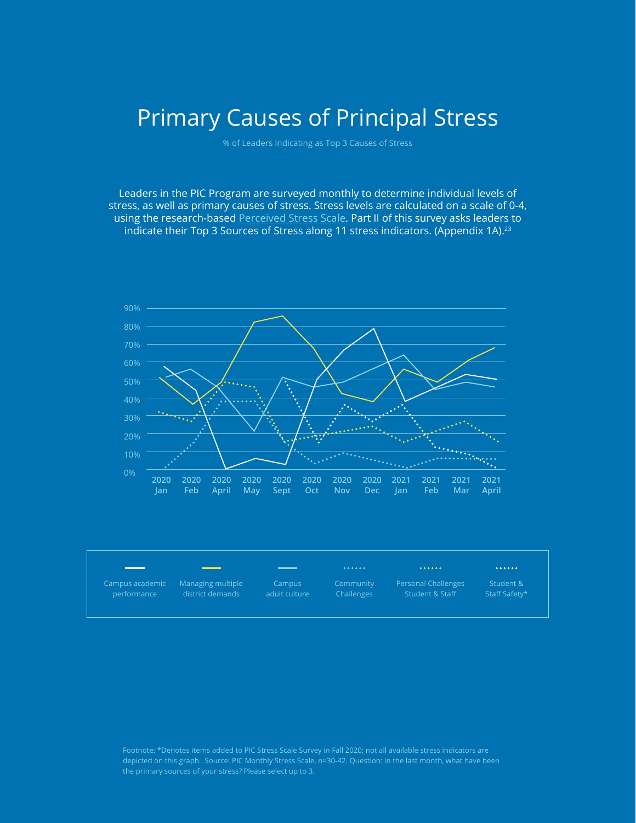### Primary Causes of Principal Stress

% of Leaders Indicating as Top 3 Causes of Stress

Leaders in the PIC Program are surveyed monthly to determine individual levels of stress, as well as primary causes of stress. Stress levels are calculated on a scale of 0-4, using the research-based [Perceived Stress Scale.](https://www.slu.edu/medicine/family-medicine/pdfs/perceived-stress-scale.pdf) Part II of this survey asks leaders to indicate their Top 3 Sources of Stress along 11 stress indicators. (Appendix 1A).<sup>23</sup>



|                 | <u> a shekara ta 1999 a shekara ta 1999 a shekara ta 1999 a shekara ta 1999 a shekara ta 1999 a shekara ta 1999 a shekara ta 1999 a shekara ta 1999 a shekara ta 1999 a shekara ta 1999 a shekara ta 1999 a shekara ta 1999 a sh</u> | _____         |            | $0.0.0.0.0.0.$             | $.$           |
|-----------------|--------------------------------------------------------------------------------------------------------------------------------------------------------------------------------------------------------------------------------------|---------------|------------|----------------------------|---------------|
| Campus academic | Managing multiple                                                                                                                                                                                                                    | Campus        | Community  | <b>Personal Challenges</b> | Student &     |
| performance     | district demands                                                                                                                                                                                                                     | adult culture | Challenges | Student & Staff            | Staff Safety* |

depicted on this graph. Source: PIC Monthly Stress Scale, n=30-42. Question: In the last month, what have been the primary sources of your stress? Please select up to 3.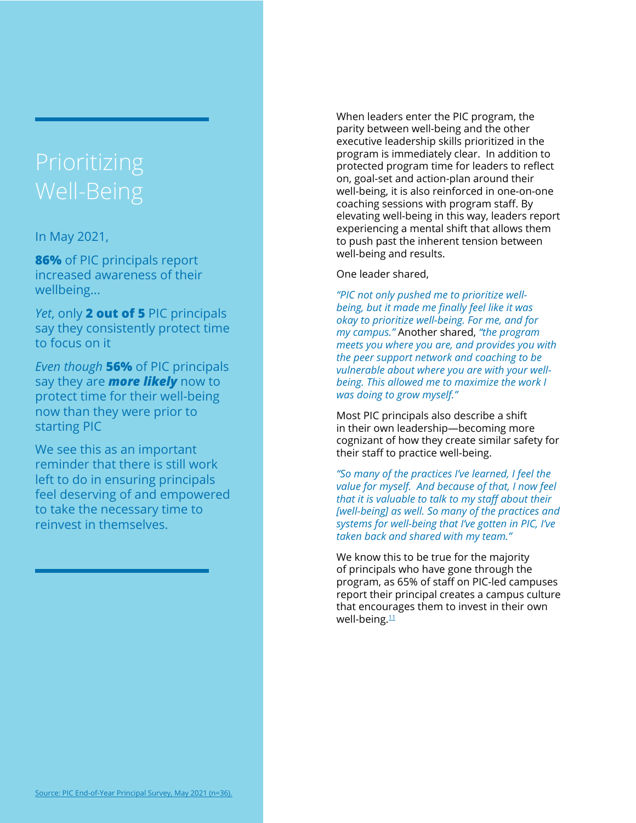# Well-Being

In May 2021,

**86%** of PIC principals report increased awareness of their wellbeing...

*Yet*, only **2 out of 5** PIC principals say they consistently protect time to focus on it

*Even though* **56%** of PIC principals say they are *more likely* now to protect time for their well-being now than they were prior to starting PIC

We see this as an important reminder that there is still work left to do in ensuring principals feel deserving of and empowered to take the necessary time to reinvest in themselves.

When leaders enter the PIC program, the parity between well-being and the other executive leadership skills prioritized in the program is immediately clear. In addition to protected program time for leaders to reflect on, goal-set and action-plan around their well-being, it is also reinforced in one-on-one coaching sessions with program staff. By elevating well-being in this way, leaders report experiencing a mental shift that allows them to push past the inherent tension between well-being and results.

#### One leader shared,

*"PIC not only pushed me to prioritize wellbeing, but it made me finally feel like it was okay to prioritize well-being. For me, and for my campus."* Another shared, *"the program meets you where you are, and provides you with the peer support network and coaching to be vulnerable about where you are with your wellbeing. This allowed me to maximize the work I was doing to grow myself."*

Most PIC principals also describe a shift in their own leadership—becoming more cognizant of how they create similar safety for their staff to practice well-being.

*"So many of the practices I've learned, I feel the value for myself. And because of that, I now feel that it is valuable to talk to my staff about their [well-being] as well. So many of the practices and systems for well-being that I've gotten in PIC, I've taken back and shared with my team."*

We know this to be true for the majority of principals who have gone through the program, as 65% of staff on PIC-led campuses report their principal creates a campus culture that encourages them to invest in their own well-being.<sup>11</sup>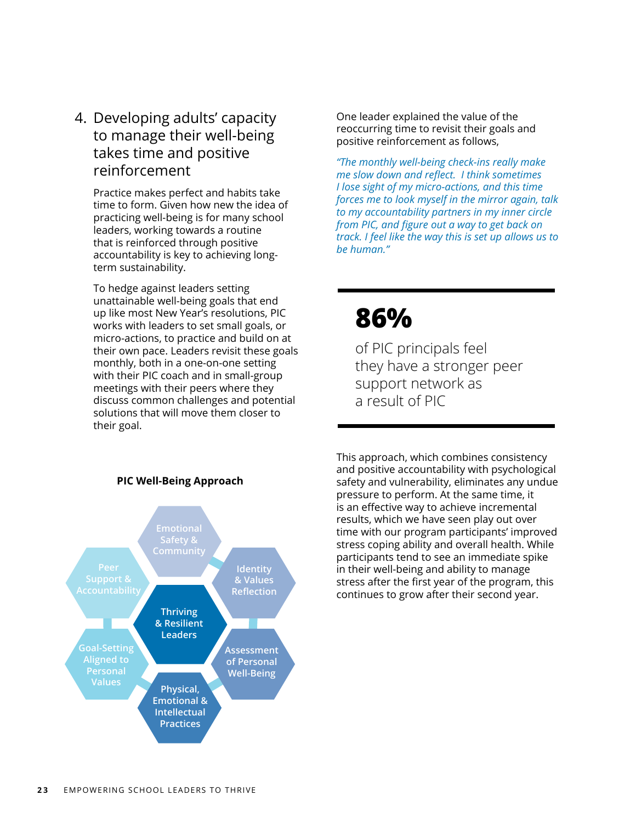4. Developing adults' capacity to manage their well-being takes time and positive reinforcement

Practice makes perfect and habits take time to form. Given how new the idea of practicing well-being is for many school leaders, working towards a routine that is reinforced through positive accountability is key to achieving longterm sustainability.

To hedge against leaders setting unattainable well-being goals that end up like most New Year's resolutions, PIC works with leaders to set small goals, or micro-actions, to practice and build on at their own pace. Leaders revisit these goals monthly, both in a one-on-one setting with their PIC coach and in small-group meetings with their peers where they discuss common challenges and potential solutions that will move them closer to their goal.

One leader explained the value of the reoccurring time to revisit their goals and positive reinforcement as follows,

*"The monthly well-being check-ins really make me slow down and reflect. I think sometimes I lose sight of my micro-actions, and this time forces me to look myself in the mirror again, talk to my accountability partners in my inner circle from PIC, and figure out a way to get back on track. I feel like the way this is set up allows us to be human."*

### **86%**

of PIC principals feel they have a stronger peer support network as a result of PIC

This approach, which combines consistency and positive accountability with psychological safety and vulnerability, eliminates any undue pressure to perform. At the same time, it is an effective way to achieve incremental results, which we have seen play out over time with our program participants' improved stress coping ability and overall health. While participants tend to see an immediate spike in their well-being and ability to manage stress after the first year of the program, this continues to grow after their second year.

**Thriving & Resilient Leaders Emotional Safety & Community Goal-Setting Aligned to Personal Values Identity & Values Reflection Assessment of Personal Well-Being Physical, Emotional & Intellectual Practices**

#### **PIC Well-Being Approach**

**23** EMPOWERING SCHOOL LEADERS TO THRIVE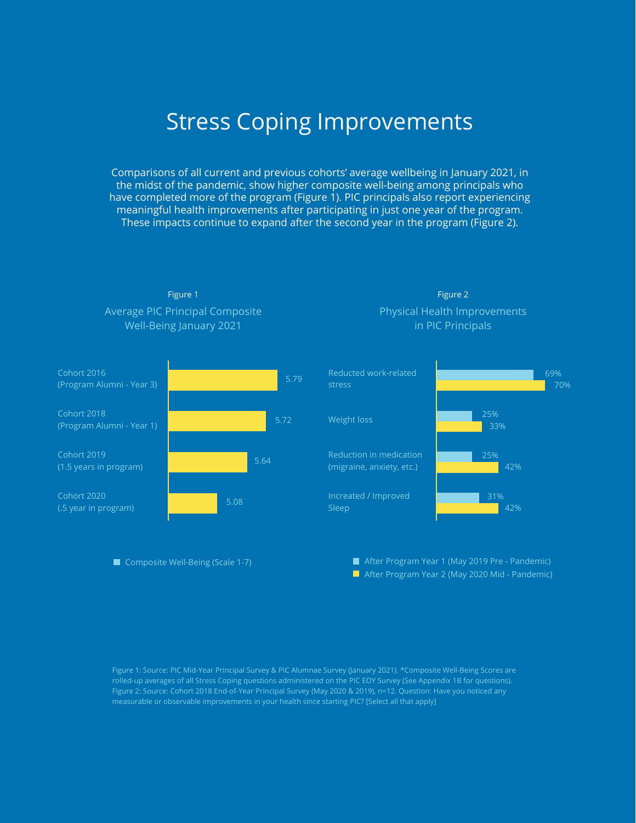### Stress Coping Improvements

Comparisons of all current and previous cohorts' average wellbeing in January 2021, in the midst of the pandemic, show higher composite well-being among principals who have completed more of the program (Figure 1). PIC principals also report experiencing meaningful health improvements after participating in just one year of the program. These impacts continue to expand after the second year in the program (Figure 2).





■ Composite Well-Being (Scale 1-7)

Physical Health Improvements in PIC Principals Figure 2



After Program Year 2 (May 2020 Mid - Pandemic) After Program Year 1 (May 2019 Pre - Pandemic)

Figure 1: Source: PIC Mid-Year Principal Survey & PIC Alumnae Survey (January 2021). \*Composite Well-Being Scores are rolled-up averages of all Stress Coping questions administered on the PIC EOY Survey (See Appendix 1B for questions). measurable or observable improvements in your health since starting PIC? [Select all that apply]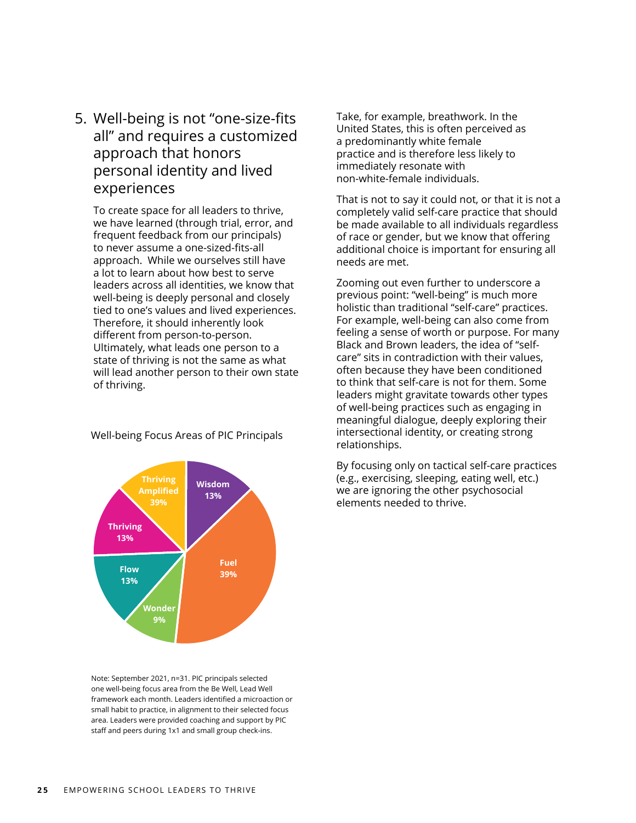5. Well-being is not "one-size-fits all" and requires a customized approach that honors personal identity and lived experiences

To create space for all leaders to thrive, we have learned (through trial, error, and frequent feedback from our principals) to never assume a one-sized-fits-all approach. While we ourselves still have a lot to learn about how best to serve leaders across all identities, we know that well-being is deeply personal and closely tied to one's values and lived experiences. Therefore, it should inherently look different from person-to-person. Ultimately, what leads one person to a state of thriving is not the same as what will lead another person to their own state of thriving.



Well-being Focus Areas of PIC Principals

Note: September 2021, n=31. PIC principals selected one well-being focus area from the Be Well, Lead Well framework each month. Leaders identified a microaction or small habit to practice, in alignment to their selected focus area. Leaders were provided coaching and support by PIC staff and peers during 1x1 and small group check-ins.

Take, for example, breathwork. In the United States, this is often perceived as a predominantly white female practice and is therefore less likely to immediately resonate with non-white-female individuals.

That is not to say it could not, or that it is not a completely valid self-care practice that should be made available to all individuals regardless of race or gender, but we know that offering additional choice is important for ensuring all needs are met.

Zooming out even further to underscore a previous point: "well-being" is much more holistic than traditional "self-care" practices. For example, well-being can also come from feeling a sense of worth or purpose. For many Black and Brown leaders, the idea of "selfcare" sits in contradiction with their values, often because they have been conditioned to think that self-care is not for them. Some leaders might gravitate towards other types of well-being practices such as engaging in meaningful dialogue, deeply exploring their intersectional identity, or creating strong relationships.

By focusing only on tactical self-care practices (e.g., exercising, sleeping, eating well, etc.) we are ignoring the other psychosocial elements needed to thrive.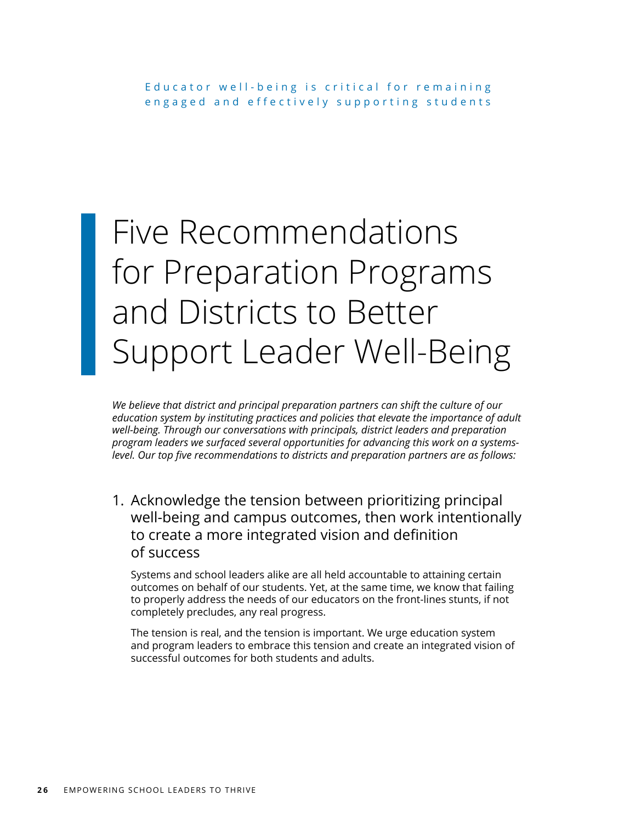# Five Recommendations for Preparation Programs and Districts to Better Support Leader Well-Being

*We believe that district and principal preparation partners can shift the culture of our education system by instituting practices and policies that elevate the importance of adult well-being. Through our conversations with principals, district leaders and preparation program leaders we surfaced several opportunities for advancing this work on a systemslevel. Our top five recommendations to districts and preparation partners are as follows:*

1. Acknowledge the tension between prioritizing principal well-being and campus outcomes, then work intentionally to create a more integrated vision and definition of success

Systems and school leaders alike are all held accountable to attaining certain outcomes on behalf of our students. Yet, at the same time, we know that failing to properly address the needs of our educators on the front-lines stunts, if not completely precludes, any real progress.

The tension is real, and the tension is important. We urge education system and program leaders to embrace this tension and create an integrated vision of successful outcomes for both students and adults.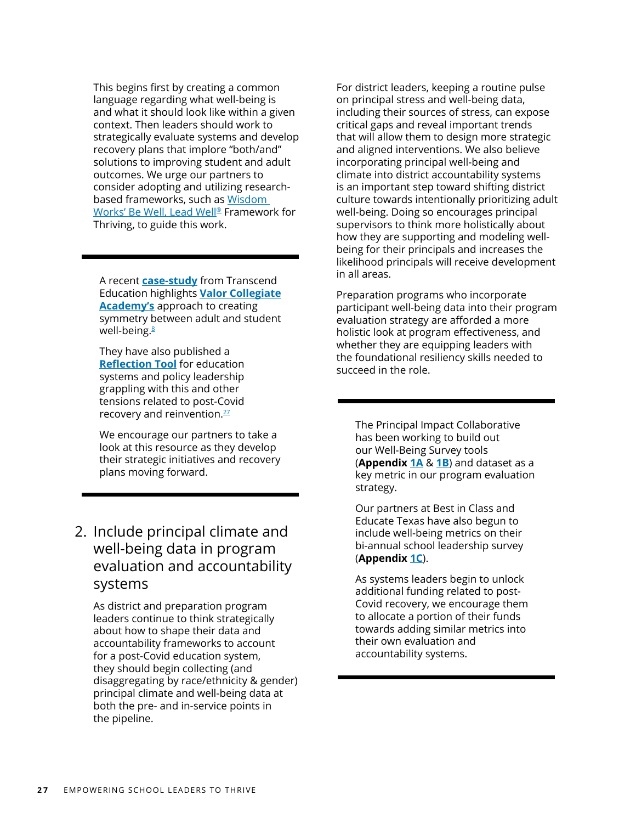This begins first by creating a common language regarding what well-being is and what it should look like within a given context. Then leaders should work to strategically evaluate systems and develop recovery plans that implore "both/and" solutions to improving student and adult outcomes. We urge our partners to consider adopting and utilizing researchbased frameworks, such as [Wisdom](https://www.bewellleadwell.com/assessment/)  [Works' Be Well, Lead Well®](https://www.bewellleadwell.com/assessment/) Framework for Thriving, to guide this work.

A recent **[case-study](https://drive.google.com/file/d/16W5sqqk1u6CeNYXc-BGYsLnj2Dn5lTxx/view)** from Transcend Education highlights **[Valor Collegiate](https://poweredbycompass.org/)  [Academy'](https://poweredbycompass.org/)s** approach to creating symmetry between adult and student well-being.<sup>[8](#page-31-0)</sup>

They have also published a **[Reflection Tool](https://drive.google.com/file/d/102Tw7lpZqm5KR6RT2o-QzTfn4jXeUw3L/view)** for education systems and policy leadership grappling with this and other tensions related to post-Covid recovery and reinvention.<sup>[27](#page-32-0)</sup>

We encourage our partners to take a look at this resource as they develop their strategic initiatives and recovery plans moving forward.

### 2. Include principal climate and well-being data in program evaluation and accountability systems

As district and preparation program leaders continue to think strategically about how to shape their data and accountability frameworks to account for a post-Covid education system, they should begin collecting (and disaggregating by race/ethnicity & gender) principal climate and well-being data at both the pre- and in-service points in the pipeline.

For district leaders, keeping a routine pulse on principal stress and well-being data, including their sources of stress, can expose critical gaps and reveal important trends that will allow them to design more strategic and aligned interventions. We also believe incorporating principal well-being and climate into district accountability systems is an important step toward shifting district culture towards intentionally prioritizing adult well-being. Doing so encourages principal supervisors to think more holistically about how they are supporting and modeling wellbeing for their principals and increases the likelihood principals will receive development in all areas.

Preparation programs who incorporate participant well-being data into their program evaluation strategy are afforded a more holistic look at program effectiveness, and whether they are equipping leaders with the foundational resiliency skills needed to succeed in the role.

The Principal Impact Collaborative has been working to build out our Well-Being Survey tools (**Appendix [1A](https://drive.google.com/file/d/1jLpN8bPpmvtQXUlvIF2jE-jYsFY8MUv7/view?usp=sharing)** & **[1B](https://drive.google.com/file/d/1d9TpGAthlDCLMm9wGjz_OQwvGeQRF3jI/view?usp=sharing)**) and dataset as a key metric in our program evaluation strategy.

Our partners at Best in Class and Educate Texas have also begun to include well-being metrics on their bi-annual school leadership survey (**Appendix [1C](https://drive.google.com/file/d/1ZPsD1UV2deGLHbqVjx5gdoqWFqx0R7G8/view?usp=sharing)**).

As systems leaders begin to unlock additional funding related to post-Covid recovery, we encourage them to allocate a portion of their funds towards adding similar metrics into their own evaluation and accountability systems.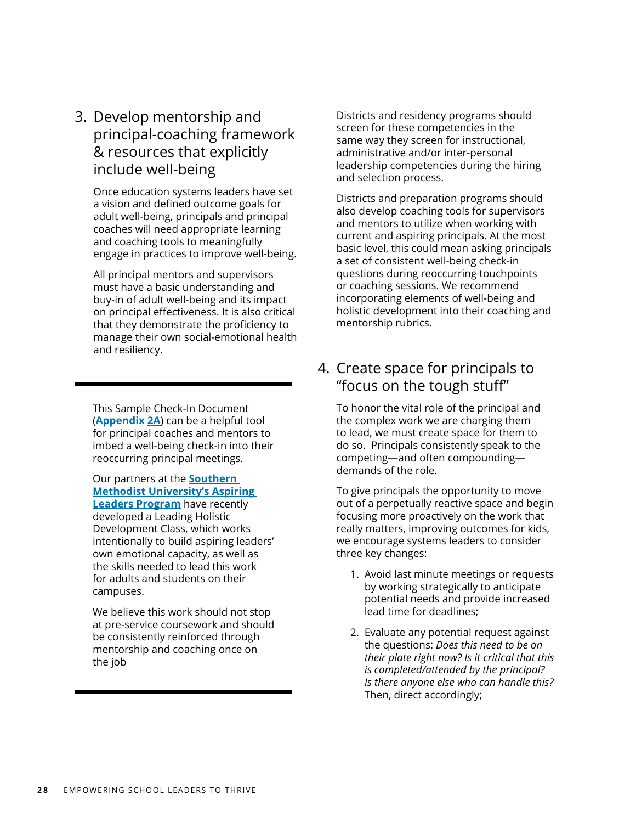3. Develop mentorship and principal-coaching framework & resources that explicitly include well-being

Once education systems leaders have set a vision and defined outcome goals for adult well-being, principals and principal coaches will need appropriate learning and coaching tools to meaningfully engage in practices to improve well-being.

All principal mentors and supervisors must have a basic understanding and buy-in of adult well-being and its impact on principal effectiveness. It is also critical that they demonstrate the proficiency to manage their own social-emotional health and resiliency.

This Sample Check-In Document (**Appendix [2A](https://drive.google.com/file/d/1-ml_aSmBW3xb90Sz9zRKzzcGT3mB8i08/view?usp=sharing)**) can be a helpful tool for principal coaches and mentors to imbed a well-being check-in into their reoccurring principal meetings.

Our partners at the **[Southern](https://www.smu.edu/simmons/Academics/PK-12-School-Leadership/MEd-Urban-Educational-Leadership)  [Methodist University's Aspiring](https://www.smu.edu/simmons/Academics/PK-12-School-Leadership/MEd-Urban-Educational-Leadership)  [Leaders Program](https://www.smu.edu/simmons/Academics/PK-12-School-Leadership/MEd-Urban-Educational-Leadership)** have recently developed a Leading Holistic Development Class, which works intentionally to build aspiring leaders' own emotional capacity, as well as the skills needed to lead this work for adults and students on their campuses.

We believe this work should not stop at pre-service coursework and should be consistently reinforced through mentorship and coaching once on the job

Districts and residency programs should screen for these competencies in the same way they screen for instructional, administrative and/or inter-personal leadership competencies during the hiring and selection process.

Districts and preparation programs should also develop coaching tools for supervisors and mentors to utilize when working with current and aspiring principals. At the most basic level, this could mean asking principals a set of consistent well-being check-in questions during reoccurring touchpoints or coaching sessions. We recommend incorporating elements of well-being and holistic development into their coaching and mentorship rubrics.

### 4. Create space for principals to "focus on the tough stuff"

To honor the vital role of the principal and the complex work we are charging them to lead, we must create space for them to do so. Principals consistently speak to the competing—and often compounding demands of the role.

To give principals the opportunity to move out of a perpetually reactive space and begin focusing more proactively on the work that really matters, improving outcomes for kids, we encourage systems leaders to consider three key changes:

- 1. Avoid last minute meetings or requests by working strategically to anticipate potential needs and provide increased lead time for deadlines;
- 2. Evaluate any potential request against the questions: *Does this need to be on their plate right now? Is it critical that this is completed/attended by the principal? Is there anyone else who can handle this?* Then, direct accordingly;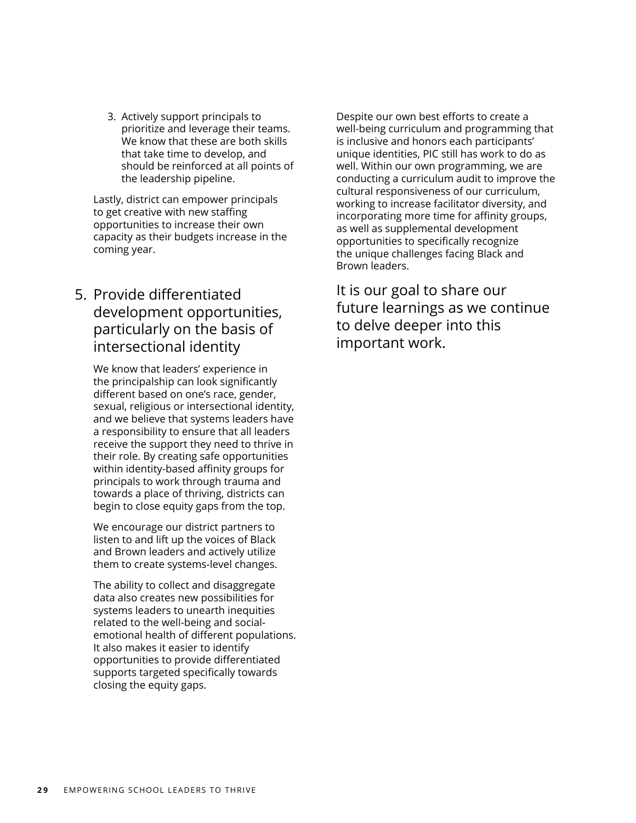3. Actively support principals to prioritize and leverage their teams. We know that these are both skills that take time to develop, and should be reinforced at all points of the leadership pipeline.

Lastly, district can empower principals to get creative with new staffing opportunities to increase their own capacity as their budgets increase in the coming year.

### 5. Provide differentiated development opportunities, particularly on the basis of intersectional identity

We know that leaders' experience in the principalship can look significantly different based on one's race, gender, sexual, religious or intersectional identity, and we believe that systems leaders have a responsibility to ensure that all leaders receive the support they need to thrive in their role. By creating safe opportunities within identity-based affinity groups for principals to work through trauma and towards a place of thriving, districts can begin to close equity gaps from the top.

We encourage our district partners to listen to and lift up the voices of Black and Brown leaders and actively utilize them to create systems-level changes.

The ability to collect and disaggregate data also creates new possibilities for systems leaders to unearth inequities related to the well-being and socialemotional health of different populations. It also makes it easier to identify opportunities to provide differentiated supports targeted specifically towards closing the equity gaps.

Despite our own best efforts to create a well-being curriculum and programming that is inclusive and honors each participants' unique identities, PIC still has work to do as well. Within our own programming, we are conducting a curriculum audit to improve the cultural responsiveness of our curriculum, working to increase facilitator diversity, and incorporating more time for affinity groups, as well as supplemental development opportunities to specifically recognize the unique challenges facing Black and Brown leaders.

It is our goal to share our future learnings as we continue to delve deeper into this important work.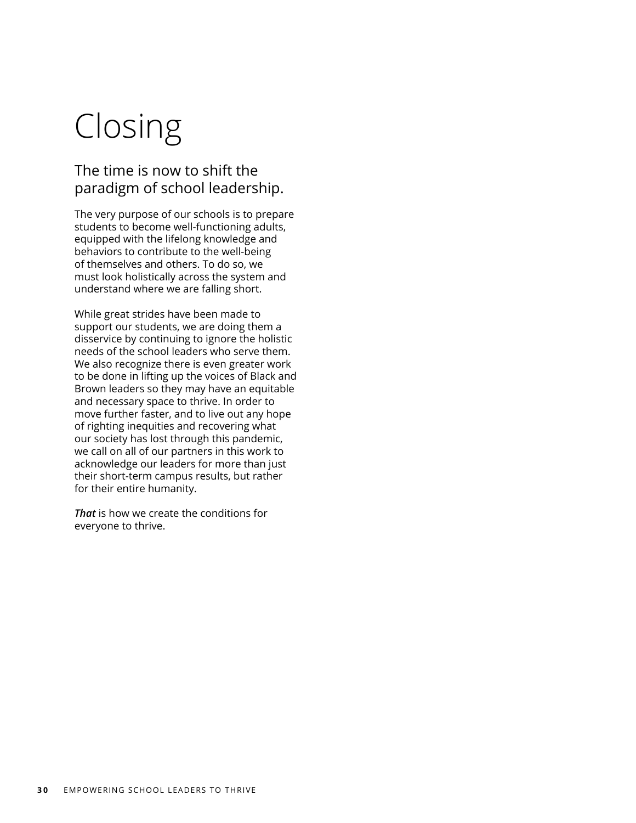# Closing

### The time is now to shift the paradigm of school leadership.

The very purpose of our schools is to prepare students to become well-functioning adults, equipped with the lifelong knowledge and behaviors to contribute to the well-being of themselves and others. To do so, we must look holistically across the system and understand where we are falling short.

While great strides have been made to support our students, we are doing them a disservice by continuing to ignore the holistic needs of the school leaders who serve them. We also recognize there is even greater work to be done in lifting up the voices of Black and Brown leaders so they may have an equitable and necessary space to thrive. In order to move further faster, and to live out any hope of righting inequities and recovering what our society has lost through this pandemic, we call on all of our partners in this work to acknowledge our leaders for more than just their short-term campus results, but rather for their entire humanity.

*That* is how we create the conditions for everyone to thrive.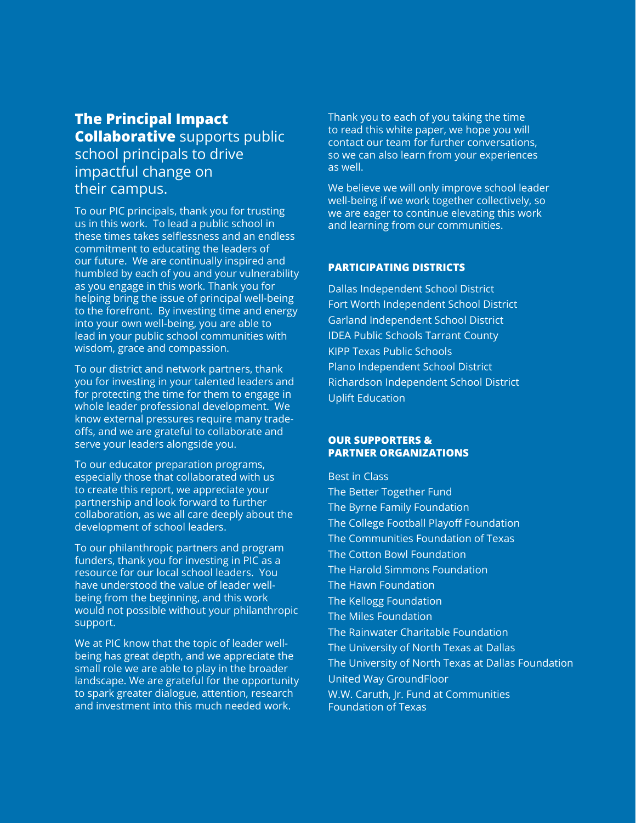### **The Principal Impact Collaborative** supports public school principals to drive impactful change on their campus.

To our PIC principals, thank you for trusting us in this work. To lead a public school in these times takes selflessness and an endless commitment to educating the leaders of our future. We are continually inspired and humbled by each of you and your vulnerability as you engage in this work. Thank you for helping bring the issue of principal well-being to the forefront. By investing time and energy into your own well-being, you are able to lead in your public school communities with wisdom, grace and compassion.

To our district and network partners, thank you for investing in your talented leaders and for protecting the time for them to engage in whole leader professional development. We know external pressures require many tradeoffs, and we are grateful to collaborate and serve your leaders alongside you.

To our educator preparation programs, especially those that collaborated with us to create this report, we appreciate your partnership and look forward to further collaboration, as we all care deeply about the development of school leaders.

To our philanthropic partners and program funders, thank you for investing in PIC as a resource for our local school leaders. You have understood the value of leader wellbeing from the beginning, and this work would not possible without your philanthropic support.

We at PIC know that the topic of leader wellbeing has great depth, and we appreciate the small role we are able to play in the broader landscape. We are grateful for the opportunity to spark greater dialogue, attention, research and investment into this much needed work.

Thank you to each of you taking the time to read this white paper, we hope you will contact our team for further conversations, so we can also learn from your experiences as well.

We believe we will only improve school leader well-being if we work together collectively, so we are eager to continue elevating this work and learning from our communities.

#### **PARTICIPATING DISTRICTS**

Dallas Independent School District Fort Worth Independent School District Garland Independent School District IDEA Public Schools Tarrant County KIPP Texas Public Schools Plano Independent School District Richardson Independent School District Uplift Education

#### **OUR SUPPORTERS & PARTNER ORGANIZATIONS**

Best in Class The Better Together Fund The Byrne Family Foundation The College Football Playoff Foundation The Communities Foundation of Texas The Cotton Bowl Foundation The Harold Simmons Foundation The Hawn Foundation The Kellogg Foundation The Miles Foundation The Rainwater Charitable Foundation The University of North Texas at Dallas The University of North Texas at Dallas Foundation United Way GroundFloor W.W. Caruth, Jr. Fund at Communities Foundation of Texas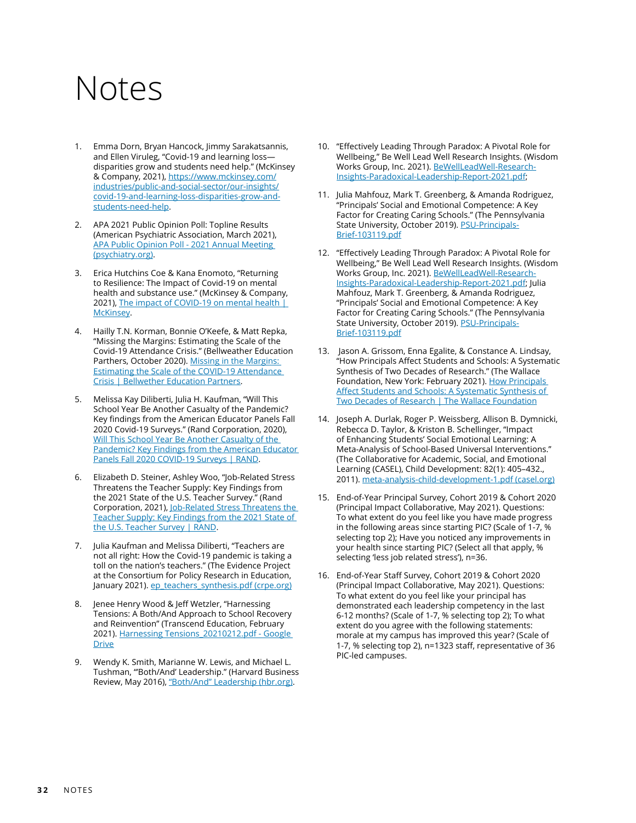### <span id="page-31-0"></span>Notes

- 1. Emma Dorn, Bryan Hancock, Jimmy Sarakatsannis, and Ellen Viruleg, "Covid-19 and learning loss disparities grow and students need help." (McKinsey & Company, 2021), [https://www.mckinsey.com/](https://www.mckinsey.com/industries/public-and-social-sector/our-insights/covid-19-and-learning-loss-disparities-grow-and-students-need-help) [industries/public-and-social-sector/our-insights/](https://www.mckinsey.com/industries/public-and-social-sector/our-insights/covid-19-and-learning-loss-disparities-grow-and-students-need-help) [covid-19-and-learning-loss-disparities-grow-and](https://www.mckinsey.com/industries/public-and-social-sector/our-insights/covid-19-and-learning-loss-disparities-grow-and-students-need-help)[students-need-help.](https://www.mckinsey.com/industries/public-and-social-sector/our-insights/covid-19-and-learning-loss-disparities-grow-and-students-need-help)
- 2. APA 2021 Public Opinion Poll: Topline Results (American Psychiatric Association, March 2021), [APA Public Opinion Poll - 2021 Annual Meeting](https://www.psychiatry.org/newsroom/apa-public-opinion-poll-2021-annual-meeting)  [\(psychiatry.org\)](https://www.psychiatry.org/newsroom/apa-public-opinion-poll-2021-annual-meeting).
- 3. Erica Hutchins Coe & Kana Enomoto, "Returning to Resilience: The Impact of Covid-19 on mental health and substance use." (McKinsey & Company, 2021), The impact of COVID-19 on mental health | [McKinsey](https://www.mckinsey.com/industries/healthcare-systems-and-services/our-insights/returning-to-resilience-the-impact-of-covid-19-on-behavioral-health).
- 4. Hailly T.N. Korman, Bonnie O'Keefe, & Matt Repka, "Missing the Margins: Estimating the Scale of the Covid-19 Attendance Crisis." (Bellweather Education Parthers, October 2020). Missing in the Margins: [Estimating the Scale of the COVID-19 Attendance](https://bellwethereducation.org/publication/missing-margins-estimating-scale-covid-19-attendance-crisis#Introduction)  [Crisis | Bellwether Education Partners.](https://bellwethereducation.org/publication/missing-margins-estimating-scale-covid-19-attendance-crisis#Introduction)
- 5. Melissa Kay Diliberti, Julia H. Kaufman, "Will This School Year Be Another Casualty of the Pandemic? Key findings from the American Educator Panels Fall 2020 Covid-19 Surveys." (Rand Corporation, 2020), [Will This School Year Be Another Casualty of the](https://www.rand.org/pubs/research_reports/RRA168-4.html)  [Pandemic? Key Findings from the American Educator](https://www.rand.org/pubs/research_reports/RRA168-4.html)  [Panels Fall 2020 COVID-19 Surveys | RAND.](https://www.rand.org/pubs/research_reports/RRA168-4.html)
- 6. Elizabeth D. Steiner, Ashley Woo, "Job-Related Stress Threatens the Teacher Supply: Key Findings from the 2021 State of the U.S. Teacher Survey." (Rand Corporation, 2021), [Job-Related Stress Threatens the](https://www.rand.org/pubs/research_reports/RRA1108-1.html)  [Teacher Supply: Key Findings from the 2021 State of](https://www.rand.org/pubs/research_reports/RRA1108-1.html)  [the U.S. Teacher Survey | RAND](https://www.rand.org/pubs/research_reports/RRA1108-1.html).
- Julia Kaufman and Melissa Diliberti, "Teachers are not all right: How the Covid-19 pandemic is taking a toll on the nation's teachers." (The Evidence Project at the Consortium for Policy Research in Education, January 2021). [ep\\_teachers\\_synthesis.pdf \(crpe.org\)](https://www.crpe.org/sites/default/files/ep_teachers_synthesis.pdf)
- 8. Jenee Henry Wood & Jeff Wetzler, "Harnessing Tensions: A Both/And Approach to School Recovery and Reinvention" (Transcend Education, February 2021). [Harnessing Tensions\\_20210212.pdf - Google](https://drive.google.com/file/d/16W5sqqk1u6CeNYXc-BGYsLnj2Dn5lTxx/view)  **[Drive](https://drive.google.com/file/d/16W5sqqk1u6CeNYXc-BGYsLnj2Dn5lTxx/view)**
- 9. Wendy K. Smith, Marianne W. Lewis, and Michael L. Tushman, "'Both/And' Leadership." (Harvard Business Review, May 2016), ["Both/And" Leadership \(hbr.org\).](https://hbr.org/2016/05/both-and-leadership)
- 10. "Effectively Leading Through Paradox: A Pivotal Role for Wellbeing," Be Well Lead Well Research Insights. (Wisdom Works Group, Inc. 2021). [BeWellLeadWell-Research-](https://www.bewellleadwell.com/wp-content/uploads/2021/06/BeWellLeadWell-Research-Insights-Paradoxical-Leadership-Report-2021.pdf)[Insights-Paradoxical-Leadership-Report-2021.pdf](https://www.bewellleadwell.com/wp-content/uploads/2021/06/BeWellLeadWell-Research-Insights-Paradoxical-Leadership-Report-2021.pdf);
- 11. Julia Mahfouz, Mark T. Greenberg, & Amanda Rodriguez, "Principals' Social and Emotional Competence: A Key Factor for Creating Caring Schools." (The Pennsylvania State University, October 2019). <u>PSU-Principals-</u> [Brief-103119.pdf](https://www.prevention.psu.edu/uploads/files/PSU-Principals-Brief-103119.pdf)
- 12. "Effectively Leading Through Paradox: A Pivotal Role for Wellbeing," Be Well Lead Well Research Insights. (Wisdom Works Group, Inc. 2021). [BeWellLeadWell-Research-](https://www.bewellleadwell.com/wp-content/uploads/2021/06/BeWellLeadWell-Research-Insights-Paradoxical-Leadership-Report-2021.pdf)[Insights-Paradoxical-Leadership-Report-2021.pdf](https://www.bewellleadwell.com/wp-content/uploads/2021/06/BeWellLeadWell-Research-Insights-Paradoxical-Leadership-Report-2021.pdf); Julia Mahfouz, Mark T. Greenberg, & Amanda Rodriguez, "Principals' Social and Emotional Competence: A Key Factor for Creating Caring Schools." (The Pennsylvania State University, October 2019). **[PSU-Principals-](https://www.prevention.psu.edu/uploads/files/PSU-Principals-Brief-103119.pdf)**[Brief-103119.pdf](https://www.prevention.psu.edu/uploads/files/PSU-Principals-Brief-103119.pdf)
- 13. Jason A. Grissom, Enna Egalite, & Constance A. Lindsay, "How Principals Affect Students and Schools: A Systematic Synthesis of Two Decades of Research." (The Wallace Foundation, New York: February 2021). How Principals [Affect Students and Schools: A Systematic Synthesis of](https://www.wallacefoundation.org/knowledge-center/pages/how-principals-affect-students-and-schools-a-systematic-synthesis-of-two-decades-of-research.aspx)  [Two Decades of Research | The Wallace Foundation](https://www.wallacefoundation.org/knowledge-center/pages/how-principals-affect-students-and-schools-a-systematic-synthesis-of-two-decades-of-research.aspx)
- 14. Joseph A. Durlak, Roger P. Weissberg, Allison B. Dymnicki, Rebecca D. Taylor, & Kriston B. Schellinger, "Impact of Enhancing Students' Social Emotional Learning: A Meta-Analysis of School-Based Universal Interventions." (The Collaborative for Academic, Social, and Emotional Learning (CASEL), Child Development: 82(1): 405–432., 2011). [meta-analysis-child-development-1.pdf \(casel.org\)](https://casel.org/wp-content/uploads/2016/01/meta-analysis-child-development-1.pdf)
- 15. End-of-Year Principal Survey, Cohort 2019 & Cohort 2020 (Principal Impact Collaborative, May 2021). Questions: To what extent do you feel like you have made progress in the following areas since starting PIC? (Scale of 1-7, % selecting top 2); Have you noticed any improvements in your health since starting PIC? (Select all that apply, % selecting 'less job related stress'), n=36.
- 16. End-of-Year Staff Survey, Cohort 2019 & Cohort 2020 (Principal Impact Collaborative, May 2021). Questions: To what extent do you feel like your principal has demonstrated each leadership competency in the last 6-12 months? (Scale of 1-7, % selecting top 2); To what extent do you agree with the following statements: morale at my campus has improved this year? (Scale of 1-7, % selecting top 2), n=1323 staff, representative of 36 PIC-led campuses.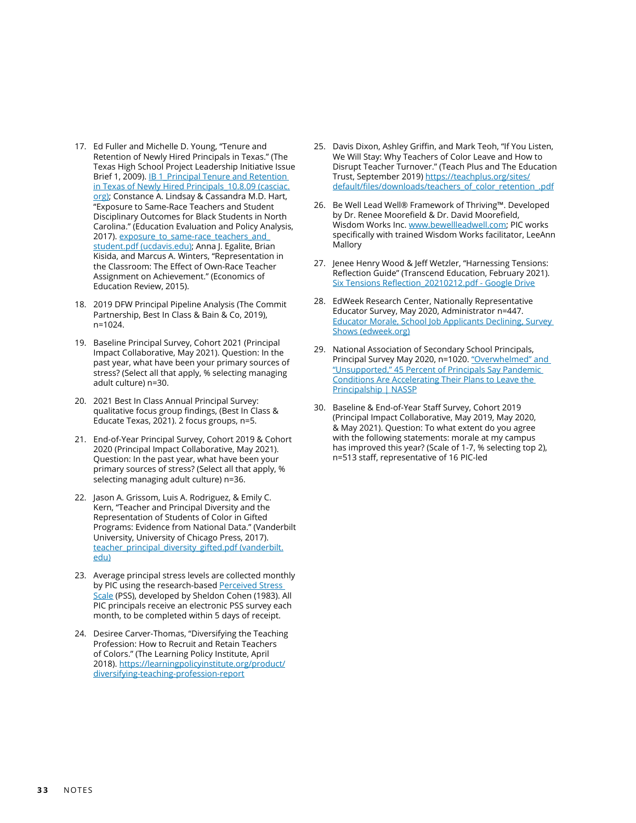- <span id="page-32-0"></span>17. Ed Fuller and Michelle D. Young, "Tenure and Retention of Newly Hired Principals in Texas." (The Texas High School Project Leadership Initiative Issue Brief 1, 2009). **IB 1\_Principal Tenure and Retention** in Texas of Newly Hired Principals 10.8.09 (casciac. [org\);](http://www.casciac.org/pdfs/ucea_tenure_and_retention_report_10_8_09.pdf) Constance A. Lindsay & Cassandra M.D. Hart, "Exposure to Same-Race Teachers and Student Disciplinary Outcomes for Black Students in North Carolina." (Education Evaluation and Policy Analysis, 2017). [exposure\\_to\\_same-race\\_teachers\\_and\\_](https://poverty.ucdavis.edu/sites/main/files/file-attachments/exposure_to_same-race_teachers_and_student.pdf) [student.pdf \(ucdavis.edu\)](https://poverty.ucdavis.edu/sites/main/files/file-attachments/exposure_to_same-race_teachers_and_student.pdf); Anna J. Egalite, Brian Kisida, and Marcus A. Winters, "Representation in the Classroom: The Effect of Own-Race Teacher Assignment on Achievement." (Economics of Education Review, 2015).
- 18. 2019 DFW Principal Pipeline Analysis (The Commit Partnership, Best In Class & Bain & Co, 2019), n=1024.
- 19. Baseline Principal Survey, Cohort 2021 (Principal Impact Collaborative, May 2021). Question: In the past year, what have been your primary sources of stress? (Select all that apply, % selecting managing adult culture) n=30.
- 20. 2021 Best In Class Annual Principal Survey: qualitative focus group findings, (Best In Class & Educate Texas, 2021). 2 focus groups, n=5.
- 21. End-of-Year Principal Survey, Cohort 2019 & Cohort 2020 (Principal Impact Collaborative, May 2021). Question: In the past year, what have been your primary sources of stress? (Select all that apply, % selecting managing adult culture) n=36.
- 22. Jason A. Grissom, Luis A. Rodriguez, & Emily C. Kern, "Teacher and Principal Diversity and the Representation of Students of Color in Gifted Programs: Evidence from National Data." (Vanderbilt University, University of Chicago Press, 2017). [teacher\\_principal\\_diversity\\_gifted.pdf \(vanderbilt.](https://my.vanderbilt.edu/jasongrissom/files/2012/05/teacher_principal_diversity_gifted.pdf) [edu\)](https://my.vanderbilt.edu/jasongrissom/files/2012/05/teacher_principal_diversity_gifted.pdf)
- 23. Average principal stress levels are collected monthly by PIC using the research-based Perceived Stress [Scale](https://www.sprc.org/system/files/private/event-training/Penn%20College%20-%20Perceived%20Stress%20Scale.pdf) (PSS), developed by Sheldon Cohen (1983). All PIC principals receive an electronic PSS survey each month, to be completed within 5 days of receipt.
- 24. Desiree Carver-Thomas, "Diversifying the Teaching Profession: How to Recruit and Retain Teachers of Colors." (The Learning Policy Institute, April 2018). [https://learningpolicyinstitute.org/product/](https://learningpolicyinstitute.org/product/diversifying-teaching-profession-report) [diversifying-teaching-profession-report](https://learningpolicyinstitute.org/product/diversifying-teaching-profession-report)
- 25. Davis Dixon, Ashley Griffin, and Mark Teoh, "If You Listen, We Will Stay: Why Teachers of Color Leave and How to Disrupt Teacher Turnover." (Teach Plus and The Education Trust, September 2019) [https://teachplus.org/sites/](https://teachplus.org/sites/default/files/downloads/teachers_of_color_retention_.pdf) [default/files/downloads/teachers\\_of\\_color\\_retention\\_.pdf](https://teachplus.org/sites/default/files/downloads/teachers_of_color_retention_.pdf)
- 26. Be Well Lead Well® Framework of Thriving™. Developed by Dr. Renee Moorefield & Dr. David Moorefield, Wisdom Works Inc. [www.bewellleadwell.com](https://www.bewellleadwell.com/); PIC works specifically with trained Wisdom Works facilitator, LeeAnn **Mallory**
- 27. Jenee Henry Wood & Jeff Wetzler, "Harnessing Tensions: Reflection Guide" (Transcend Education, February 2021). [Six Tensions Reflection\\_20210212.pdf - Google Drive](https://drive.google.com/file/d/102Tw7lpZqm5KR6RT2o-QzTfn4jXeUw3L/view)
- 28. EdWeek Research Center, Nationally Representative Educator Survey, May 2020, Administrator n=447. [Educator Morale, School Job Applicants Declining, Survey](https://www.edweek.org/teaching-learning/educator-morale-school-job-applicants-declining-survey-shows/2020/11)  [Shows \(edweek.org\)](https://www.edweek.org/teaching-learning/educator-morale-school-job-applicants-declining-survey-shows/2020/11)
- 29. National Association of Secondary School Principals, Principal Survey May 2020, n=1020. ["Overwhelmed" and](https://www.nassp.org/news/overwhelmed-and-unsupported-45-percent-of-principals-say-pandemic-conditions-are-accelerating-their-plans-to-leave-the-principalship/)  ["Unsupported," 45 Percent of Principals Say Pandemic](https://www.nassp.org/news/overwhelmed-and-unsupported-45-percent-of-principals-say-pandemic-conditions-are-accelerating-their-plans-to-leave-the-principalship/)  [Conditions Are Accelerating Their Plans to Leave the](https://www.nassp.org/news/overwhelmed-and-unsupported-45-percent-of-principals-say-pandemic-conditions-are-accelerating-their-plans-to-leave-the-principalship/)  [Principalship | NASSP](https://www.nassp.org/news/overwhelmed-and-unsupported-45-percent-of-principals-say-pandemic-conditions-are-accelerating-their-plans-to-leave-the-principalship/)
- 30. Baseline & End-of-Year Staff Survey, Cohort 2019 (Principal Impact Collaborative, May 2019, May 2020, & May 2021). Question: To what extent do you agree with the following statements: morale at my campus has improved this year? (Scale of 1-7, % selecting top 2), n=513 staff, representative of 16 PIC-led